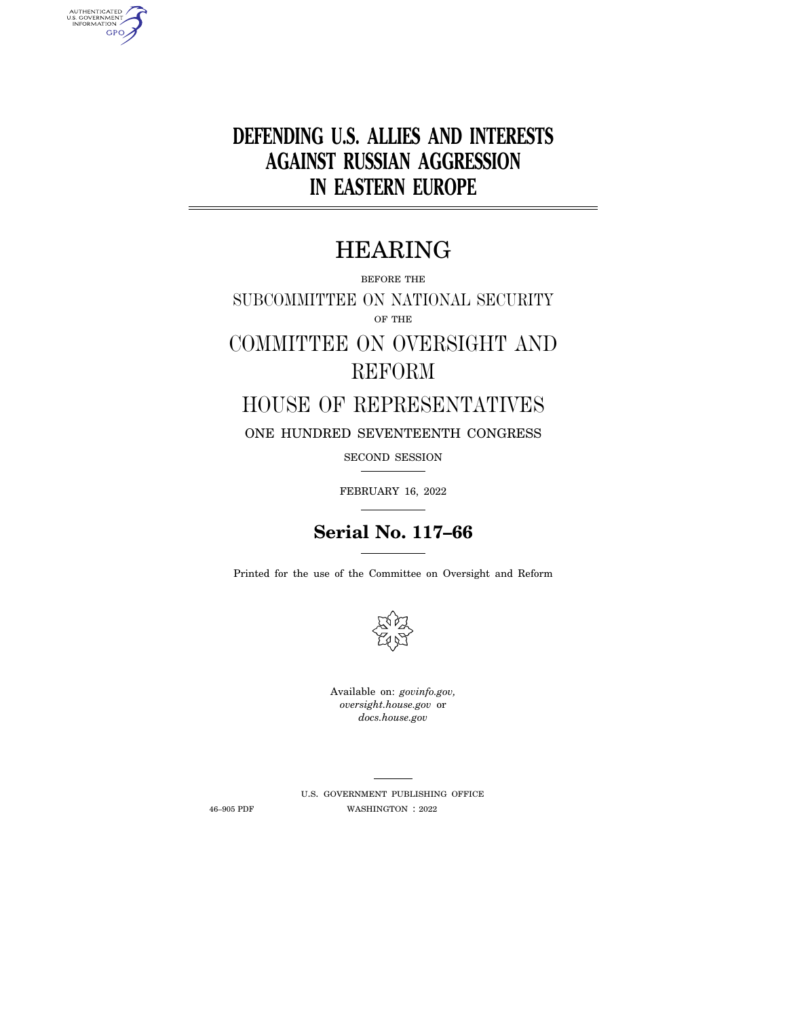# **DEFENDING U.S. ALLIES AND INTERESTS AGAINST RUSSIAN AGGRESSION IN EASTERN EUROPE**

## HEARING

BEFORE THE

SUBCOMMITTEE ON NATIONAL SECURITY OF THE

# COMMITTEE ON OVERSIGHT AND REFORM

### HOUSE OF REPRESENTATIVES

ONE HUNDRED SEVENTEENTH CONGRESS

SECOND SESSION

FEBRUARY 16, 2022

## **Serial No. 117–66**

Printed for the use of the Committee on Oversight and Reform



Available on: *govinfo.gov, oversight.house.gov* or *docs.house.gov* 

AUTHENTICATED<br>U.S. GOVERNMENT<br>INFORMATION **GPO** 

> U.S. GOVERNMENT PUBLISHING OFFICE 46–905 PDF WASHINGTON : 2022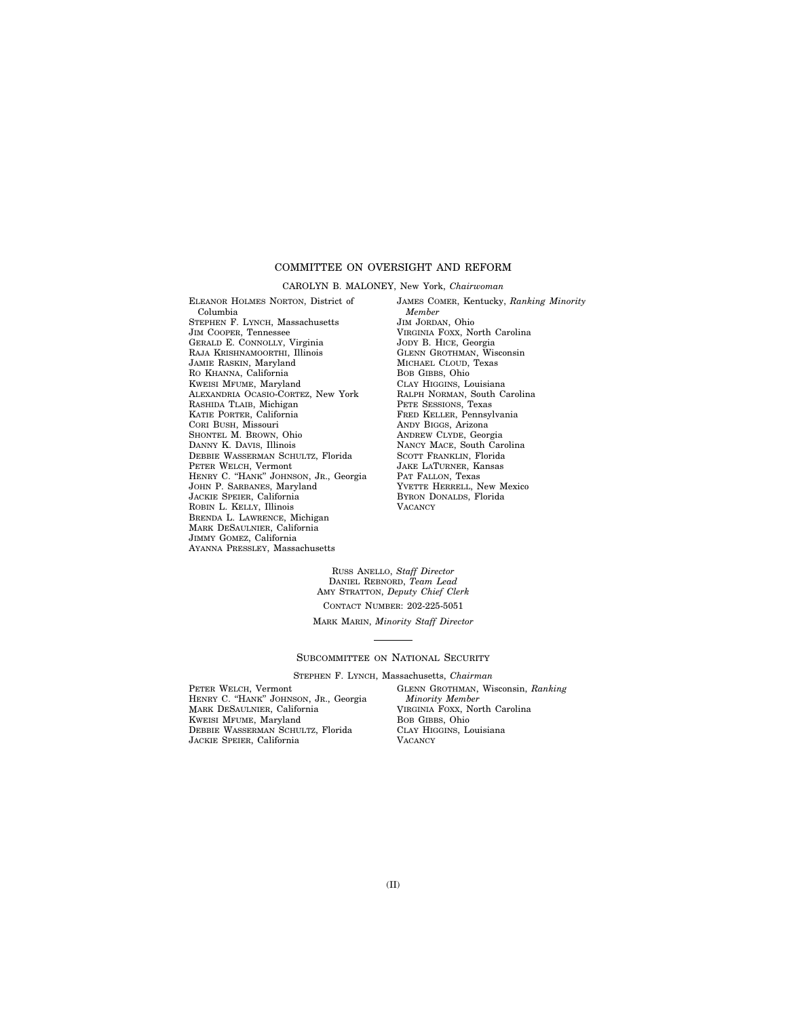### COMMITTEE ON OVERSIGHT AND REFORM

#### CAROLYN B. MALONEY, New York, *Chairwoman*

ELEANOR HOLMES NORTON, District of Columbia STEPHEN F. LYNCH, Massachusetts JIM COOPER, Tennessee GERALD E. CONNOLLY, Virginia RAJA KRISHNAMOORTHI, Illinois JAMIE RASKIN, Maryland RO KHANNA, California KWEISI MFUME, Maryland ALEXANDRIA OCASIO-CORTEZ, New York RASHIDA TLAIB, Michigan KATIE PORTER, California CORI BUSH, Missouri SHONTEL M. BROWN, Ohio DANNY K. DAVIS, Illinois DEBBIE WASSERMAN SCHULTZ, Florida PETER WELCH, Vermont HENRY C. ''HANK'' JOHNSON, JR., Georgia JOHN P. SARBANES, Maryland JACKIE SPEIER, California ROBIN L. KELLY, Illinois BRENDA L. LAWRENCE, Michigan MARK DESAULNIER, California JIMMY GOMEZ, California AYANNA PRESSLEY, Massachusetts

JAMES COMER, Kentucky, *Ranking Minority Member*  JIM JORDAN, Ohio VIRGINIA FOXX, North Carolina JODY B. HICE, Georgia GLENN GROTHMAN, Wisconsin MICHAEL CLOUD, Texas BOB GIBBS, Ohio CLAY HIGGINS, Louisiana RALPH NORMAN, South Carolina PETE SESSIONS, Texas FRED KELLER, Pennsylvania ANDY BIGGS, Arizona ANDREW CLYDE, Georgia NANCY MACE, South Carolina SCOTT FRANKLIN, Florida JAKE LATURNER, Kansas PAT FALLON, Texas YVETTE HERRELL, New Mexico BYRON DONALDS, Florida **VACANCY** 

RUSS ANELLO, *Staff Director*  DANIEL REBNORD, *Team Lead*  AMY STRATTON, *Deputy Chief Clerk* 

CONTACT NUMBER: 202-225-5051

MARK MARIN, *Minority Staff Director* 

#### SUBCOMMITTEE ON NATIONAL SECURITY

STEPHEN F. LYNCH, Massachusetts, *Chairman* 

PETER WELCH, Vermont HENRY C. ''HANK'' JOHNSON, JR., Georgia MARK DESAULNIER, California KWEISI MFUME, Maryland DEBBIE WASSERMAN SCHULTZ, Florida JACKIE SPEIER, California

GLENN GROTHMAN, Wisconsin, *Ranking Minority Member*  VIRGINIA FOXX, North Carolina BOB GIBBS, Ohio CLAY HIGGINS, Louisiana **VACANCY**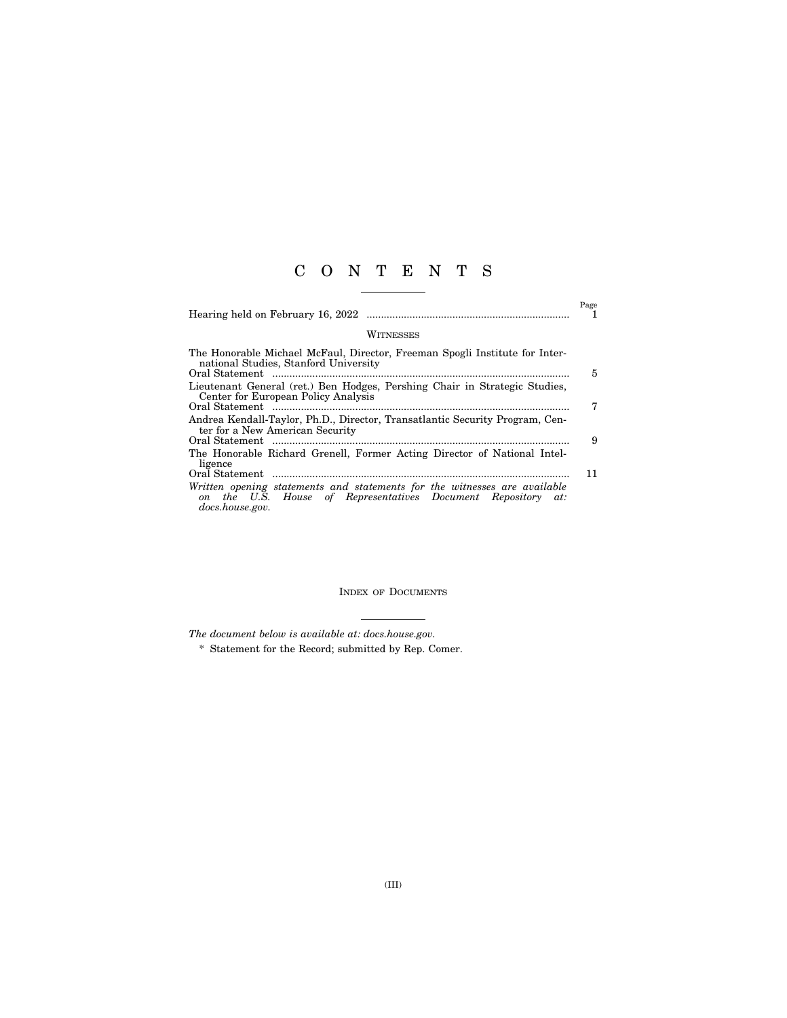### C O N T E N T S

|                                                                                                                                                              | Page |
|--------------------------------------------------------------------------------------------------------------------------------------------------------------|------|
| WITNESSES                                                                                                                                                    |      |
| The Honorable Michael McFaul, Director, Freeman Spogli Institute for Inter-<br>national Studies, Stanford University                                         | 5    |
| Lieutenant General (ret.) Ben Hodges, Pershing Chair in Strategic Studies,<br>Center for European Policy Analysis                                            | 7    |
| Andrea Kendall-Taylor, Ph.D., Director, Transatlantic Security Program, Cen-<br>ter for a New American Security                                              | 9    |
| The Honorable Richard Grenell, Former Acting Director of National Intel-<br>ligence                                                                          |      |
| Written opening statements and statements for the witnesses are available<br>on the U.S. House of Representatives Document Repository at:<br>docs.house.gov. | 11   |

INDEX OF DOCUMENTS

*The document below is available at: docs.house.gov.* 

\* Statement for the Record; submitted by Rep. Comer.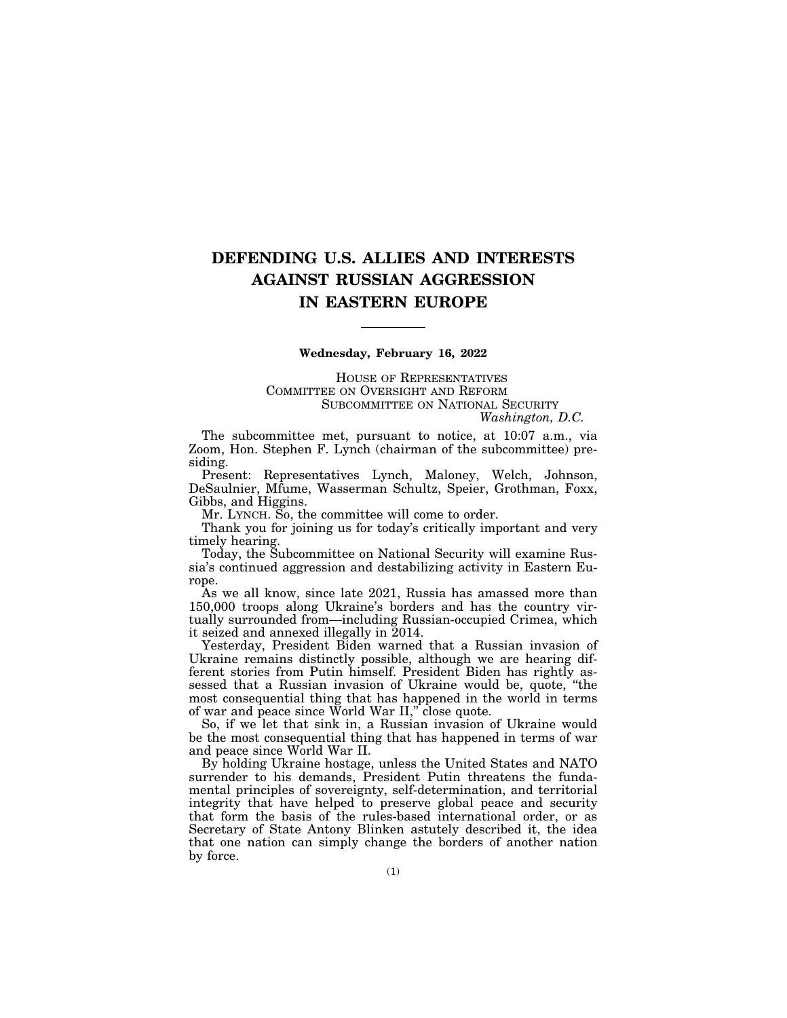### **DEFENDING U.S. ALLIES AND INTERESTS AGAINST RUSSIAN AGGRESSION IN EASTERN EUROPE**

### **Wednesday, February 16, 2022**

HOUSE OF REPRESENTATIVES COMMITTEE ON OVERSIGHT AND REFORM SUBCOMMITTEE ON NATIONAL SECURITY *Washington, D.C.* 

The subcommittee met, pursuant to notice, at 10:07 a.m., via Zoom, Hon. Stephen F. Lynch (chairman of the subcommittee) presiding.

Present: Representatives Lynch, Maloney, Welch, Johnson, DeSaulnier, Mfume, Wasserman Schultz, Speier, Grothman, Foxx, Gibbs, and Higgins.

Mr. LYNCH. So, the committee will come to order.

Thank you for joining us for today's critically important and very timely hearing.

Today, the Subcommittee on National Security will examine Russia's continued aggression and destabilizing activity in Eastern Europe.

As we all know, since late 2021, Russia has amassed more than 150,000 troops along Ukraine's borders and has the country virtually surrounded from—including Russian-occupied Crimea, which it seized and annexed illegally in 2014.

Yesterday, President Biden warned that a Russian invasion of Ukraine remains distinctly possible, although we are hearing different stories from Putin himself. President Biden has rightly assessed that a Russian invasion of Ukraine would be, quote, ''the most consequential thing that has happened in the world in terms of war and peace since World War II,'' close quote.

So, if we let that sink in, a Russian invasion of Ukraine would be the most consequential thing that has happened in terms of war and peace since World War II.

By holding Ukraine hostage, unless the United States and NATO surrender to his demands, President Putin threatens the fundamental principles of sovereignty, self-determination, and territorial integrity that have helped to preserve global peace and security that form the basis of the rules-based international order, or as Secretary of State Antony Blinken astutely described it, the idea that one nation can simply change the borders of another nation by force.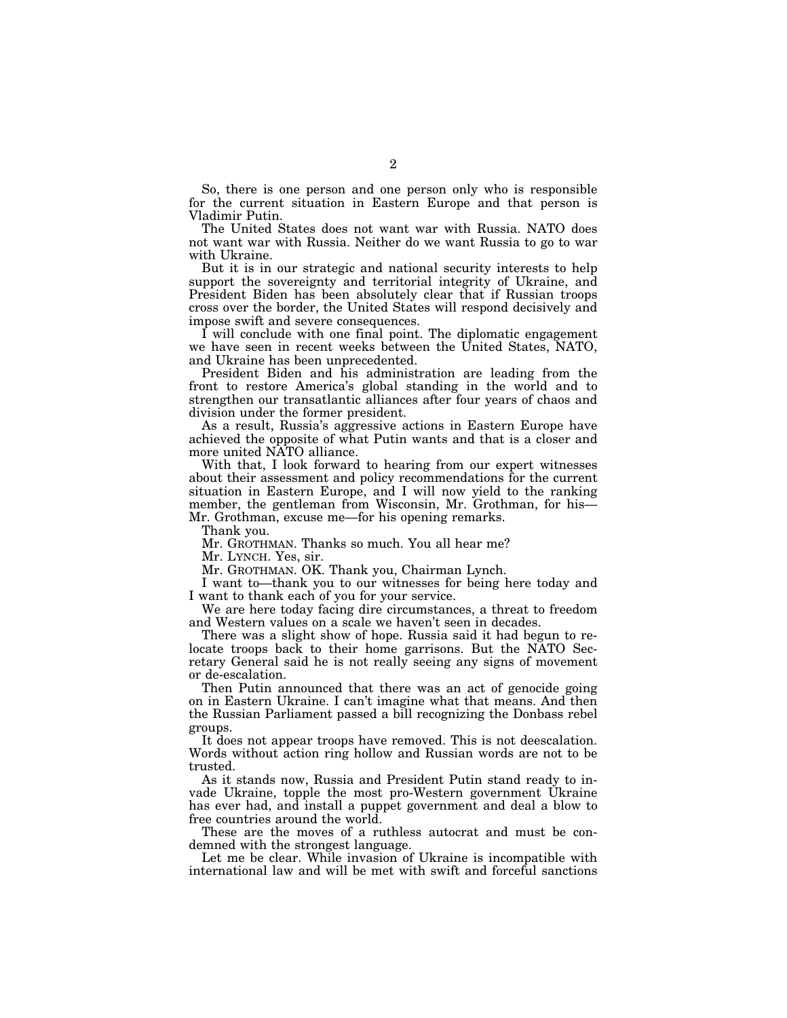So, there is one person and one person only who is responsible for the current situation in Eastern Europe and that person is Vladimir Putin.

The United States does not want war with Russia. NATO does not want war with Russia. Neither do we want Russia to go to war with Ukraine.

But it is in our strategic and national security interests to help support the sovereignty and territorial integrity of Ukraine, and President Biden has been absolutely clear that if Russian troops cross over the border, the United States will respond decisively and impose swift and severe consequences.

I will conclude with one final point. The diplomatic engagement we have seen in recent weeks between the United States, NATO, and Ukraine has been unprecedented.

President Biden and his administration are leading from the front to restore America's global standing in the world and to strengthen our transatlantic alliances after four years of chaos and division under the former president.

As a result, Russia's aggressive actions in Eastern Europe have achieved the opposite of what Putin wants and that is a closer and more united NATO alliance.

With that, I look forward to hearing from our expert witnesses about their assessment and policy recommendations for the current situation in Eastern Europe, and I will now yield to the ranking member, the gentleman from Wisconsin, Mr. Grothman, for his— Mr. Grothman, excuse me—for his opening remarks.

Thank you.

Mr. GROTHMAN. Thanks so much. You all hear me?

Mr. LYNCH. Yes, sir.

Mr. GROTHMAN. OK. Thank you, Chairman Lynch.

I want to—thank you to our witnesses for being here today and I want to thank each of you for your service.

We are here today facing dire circumstances, a threat to freedom and Western values on a scale we haven't seen in decades.

There was a slight show of hope. Russia said it had begun to relocate troops back to their home garrisons. But the NATO Secretary General said he is not really seeing any signs of movement or de-escalation.

Then Putin announced that there was an act of genocide going on in Eastern Ukraine. I can't imagine what that means. And then the Russian Parliament passed a bill recognizing the Donbass rebel groups.

It does not appear troops have removed. This is not deescalation. Words without action ring hollow and Russian words are not to be trusted.

As it stands now, Russia and President Putin stand ready to invade Ukraine, topple the most pro-Western government Ukraine has ever had, and install a puppet government and deal a blow to free countries around the world.

These are the moves of a ruthless autocrat and must be condemned with the strongest language.

Let me be clear. While invasion of Ukraine is incompatible with international law and will be met with swift and forceful sanctions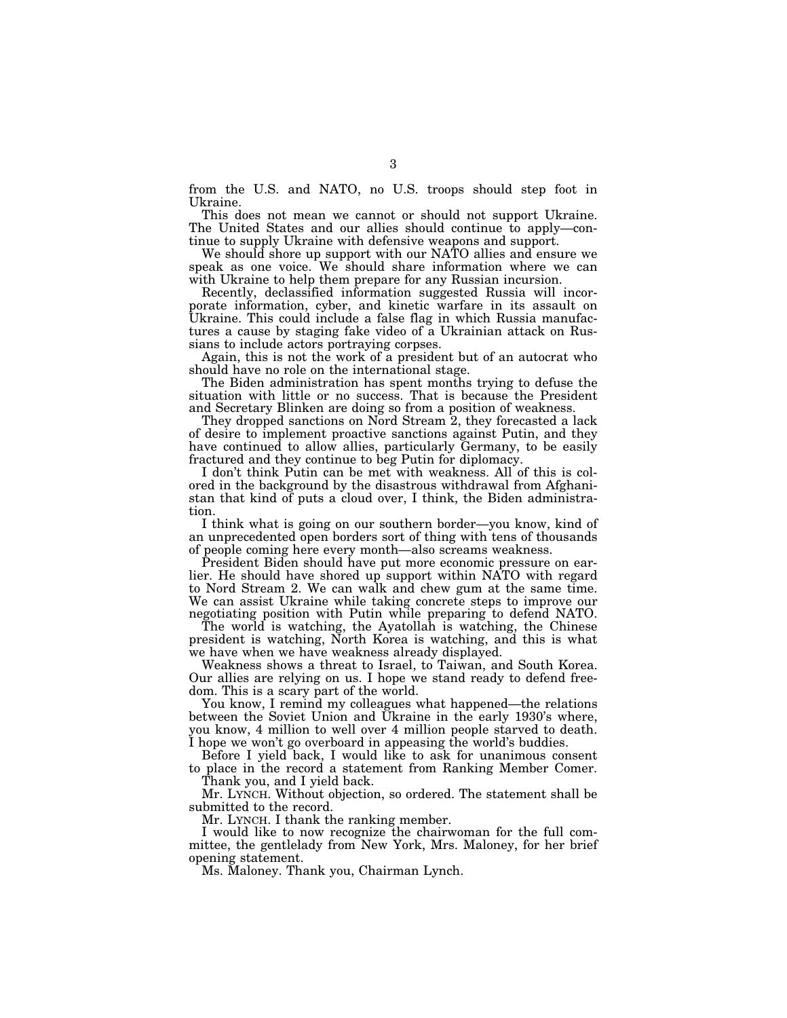from the U.S. and NATO, no U.S. troops should step foot in Ukraine.

This does not mean we cannot or should not support Ukraine. The United States and our allies should continue to apply—continue to supply Ukraine with defensive weapons and support.

We should shore up support with our NATO allies and ensure we speak as one voice. We should share information where we can with Ukraine to help them prepare for any Russian incursion.

Recently, declassified information suggested Russia will incorporate information, cyber, and kinetic warfare in its assault on Ukraine. This could include a false flag in which Russia manufactures a cause by staging fake video of a Ukrainian attack on Russians to include actors portraying corpses.

Again, this is not the work of a president but of an autocrat who should have no role on the international stage.

The Biden administration has spent months trying to defuse the situation with little or no success. That is because the President and Secretary Blinken are doing so from a position of weakness.

They dropped sanctions on Nord Stream 2, they forecasted a lack of desire to implement proactive sanctions against Putin, and they have continued to allow allies, particularly Germany, to be easily fractured and they continue to beg Putin for diplomacy.

I don't think Putin can be met with weakness. All of this is colored in the background by the disastrous withdrawal from Afghanistan that kind of puts a cloud over, I think, the Biden administration.

I think what is going on our southern border—you know, kind of an unprecedented open borders sort of thing with tens of thousands of people coming here every month—also screams weakness.

President Biden should have put more economic pressure on earlier. He should have shored up support within NATO with regard to Nord Stream 2. We can walk and chew gum at the same time. We can assist Ukraine while taking concrete steps to improve our negotiating position with Putin while preparing to defend NATO.

The world is watching, the Ayatollah is watching, the Chinese president is watching, North Korea is watching, and this is what we have when we have weakness already displayed.

Weakness shows a threat to Israel, to Taiwan, and South Korea. Our allies are relying on us. I hope we stand ready to defend freedom. This is a scary part of the world.

You know, I remind my colleagues what happened—the relations between the Soviet Union and Ukraine in the early 1930's where, you know, 4 million to well over 4 million people starved to death. I hope we won't go overboard in appeasing the world's buddies.

Before I yield back, I would like to ask for unanimous consent to place in the record a statement from Ranking Member Comer.

Thank you, and I yield back.

Mr. LYNCH. Without objection, so ordered. The statement shall be submitted to the record.

Mr. LYNCH. I thank the ranking member.

I would like to now recognize the chairwoman for the full committee, the gentlelady from New York, Mrs. Maloney, for her brief opening statement.

Ms. Maloney. Thank you, Chairman Lynch.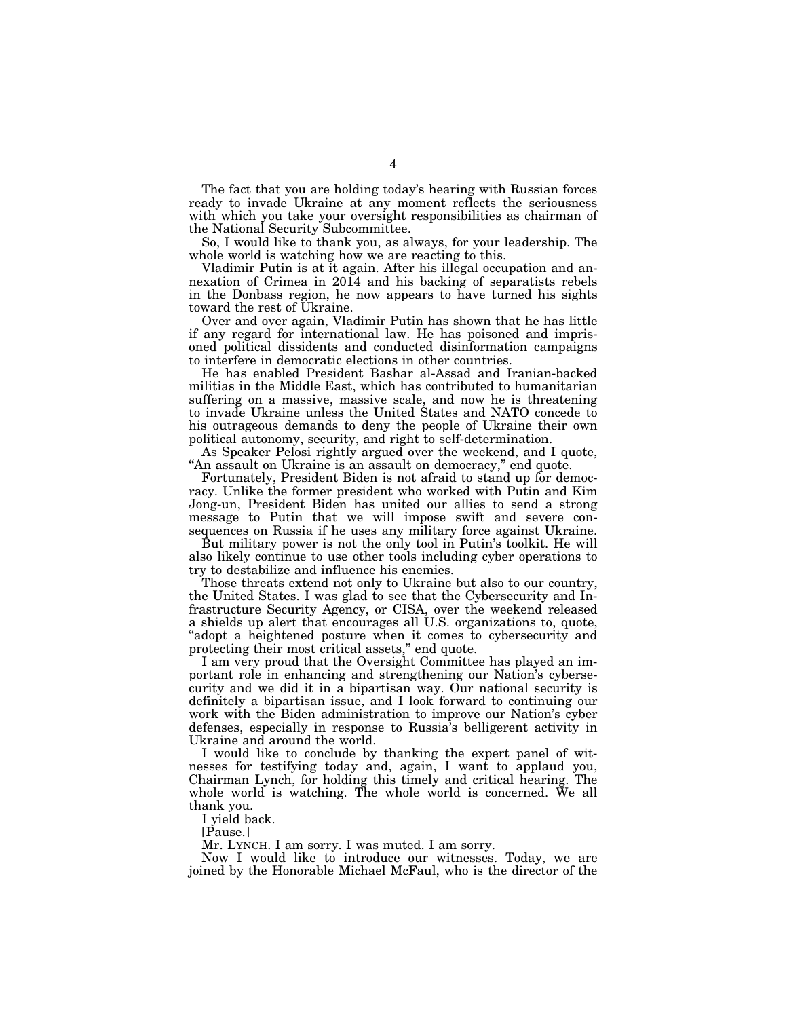The fact that you are holding today's hearing with Russian forces ready to invade Ukraine at any moment reflects the seriousness with which you take your oversight responsibilities as chairman of the National Security Subcommittee.

So, I would like to thank you, as always, for your leadership. The whole world is watching how we are reacting to this.

Vladimir Putin is at it again. After his illegal occupation and annexation of Crimea in 2014 and his backing of separatists rebels in the Donbass region, he now appears to have turned his sights toward the rest of Ukraine.

Over and over again, Vladimir Putin has shown that he has little if any regard for international law. He has poisoned and imprisoned political dissidents and conducted disinformation campaigns to interfere in democratic elections in other countries.

He has enabled President Bashar al-Assad and Iranian-backed militias in the Middle East, which has contributed to humanitarian suffering on a massive, massive scale, and now he is threatening to invade Ukraine unless the United States and NATO concede to his outrageous demands to deny the people of Ukraine their own political autonomy, security, and right to self-determination.

As Speaker Pelosi rightly argued over the weekend, and I quote, "An assault on Ukraine is an assault on democracy," end quote.

Fortunately, President Biden is not afraid to stand up for democracy. Unlike the former president who worked with Putin and Kim Jong-un, President Biden has united our allies to send a strong message to Putin that we will impose swift and severe consequences on Russia if he uses any military force against Ukraine.

But military power is not the only tool in Putin's toolkit. He will also likely continue to use other tools including cyber operations to try to destabilize and influence his enemies.

Those threats extend not only to Ukraine but also to our country, the United States. I was glad to see that the Cybersecurity and Infrastructure Security Agency, or CISA, over the weekend released a shields up alert that encourages all U.S. organizations to, quote, "adopt a heightened posture when it comes to cybersecurity and protecting their most critical assets,'' end quote.

I am very proud that the Oversight Committee has played an important role in enhancing and strengthening our Nation's cybersecurity and we did it in a bipartisan way. Our national security is definitely a bipartisan issue, and I look forward to continuing our work with the Biden administration to improve our Nation's cyber defenses, especially in response to Russia's belligerent activity in Ukraine and around the world.

I would like to conclude by thanking the expert panel of witnesses for testifying today and, again, I want to applaud you, Chairman Lynch, for holding this timely and critical hearing. The whole world is watching. The whole world is concerned. We all thank you.

I yield back.

[Pause.]

Mr. LYNCH. I am sorry. I was muted. I am sorry.

Now I would like to introduce our witnesses. Today, we are joined by the Honorable Michael McFaul, who is the director of the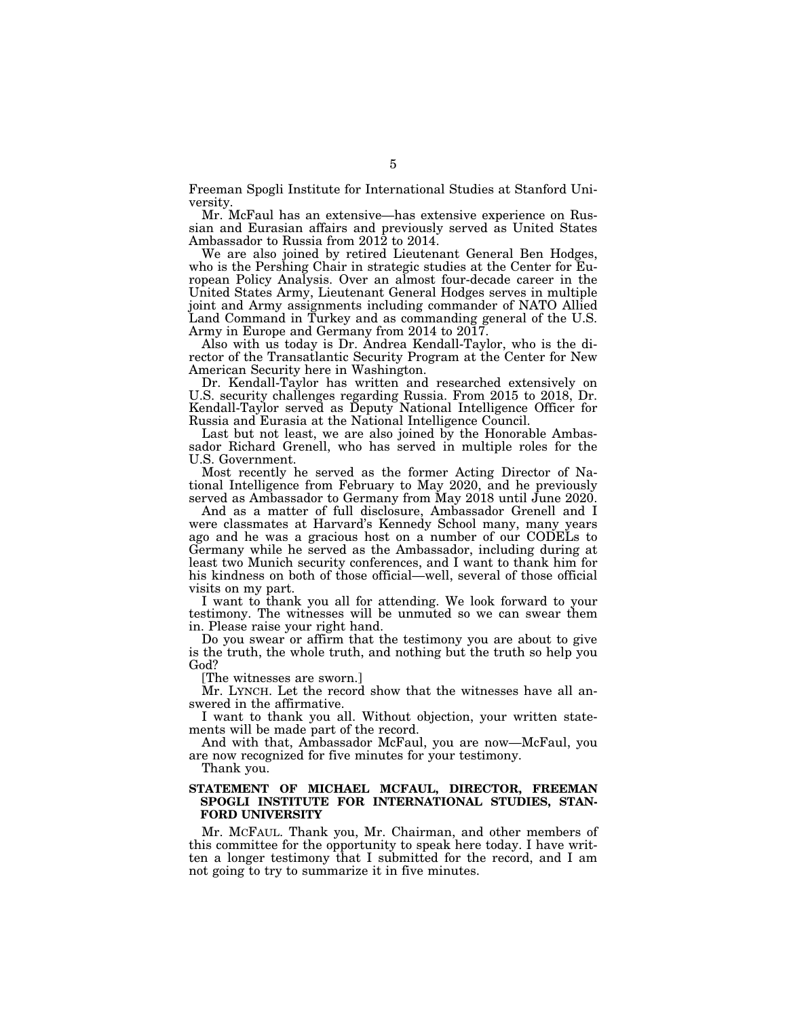Freeman Spogli Institute for International Studies at Stanford University.

Mr. McFaul has an extensive—has extensive experience on Russian and Eurasian affairs and previously served as United States Ambassador to Russia from 2012 to 2014.

We are also joined by retired Lieutenant General Ben Hodges, who is the Pershing Chair in strategic studies at the Center for European Policy Analysis. Over an almost four-decade career in the United States Army, Lieutenant General Hodges serves in multiple joint and Army assignments including commander of NATO Allied Land Command in Turkey and as commanding general of the U.S. Army in Europe and Germany from 2014 to 2017.

Also with us today is Dr. Andrea Kendall-Taylor, who is the director of the Transatlantic Security Program at the Center for New American Security here in Washington.

Dr. Kendall-Taylor has written and researched extensively on U.S. security challenges regarding Russia. From 2015 to 2018, Dr. Kendall-Taylor served as Deputy National Intelligence Officer for Russia and Eurasia at the National Intelligence Council.

Last but not least, we are also joined by the Honorable Ambassador Richard Grenell, who has served in multiple roles for the U.S. Government.

Most recently he served as the former Acting Director of National Intelligence from February to May 2020, and he previously served as Ambassador to Germany from May 2018 until June 2020.

And as a matter of full disclosure, Ambassador Grenell and I were classmates at Harvard's Kennedy School many, many years ago and he was a gracious host on a number of our CODELs to Germany while he served as the Ambassador, including during at least two Munich security conferences, and I want to thank him for his kindness on both of those official—well, several of those official visits on my part.

I want to thank you all for attending. We look forward to your testimony. The witnesses will be unmuted so we can swear them in. Please raise your right hand.

Do you swear or affirm that the testimony you are about to give is the truth, the whole truth, and nothing but the truth so help you God?

[The witnesses are sworn.]

Mr. LYNCH. Let the record show that the witnesses have all answered in the affirmative.

I want to thank you all. Without objection, your written statements will be made part of the record.

And with that, Ambassador McFaul, you are now—McFaul, you are now recognized for five minutes for your testimony.

Thank you.

#### **STATEMENT OF MICHAEL MCFAUL, DIRECTOR, FREEMAN SPOGLI INSTITUTE FOR INTERNATIONAL STUDIES, STAN-FORD UNIVERSITY**

Mr. MCFAUL. Thank you, Mr. Chairman, and other members of this committee for the opportunity to speak here today. I have written a longer testimony that I submitted for the record, and I am not going to try to summarize it in five minutes.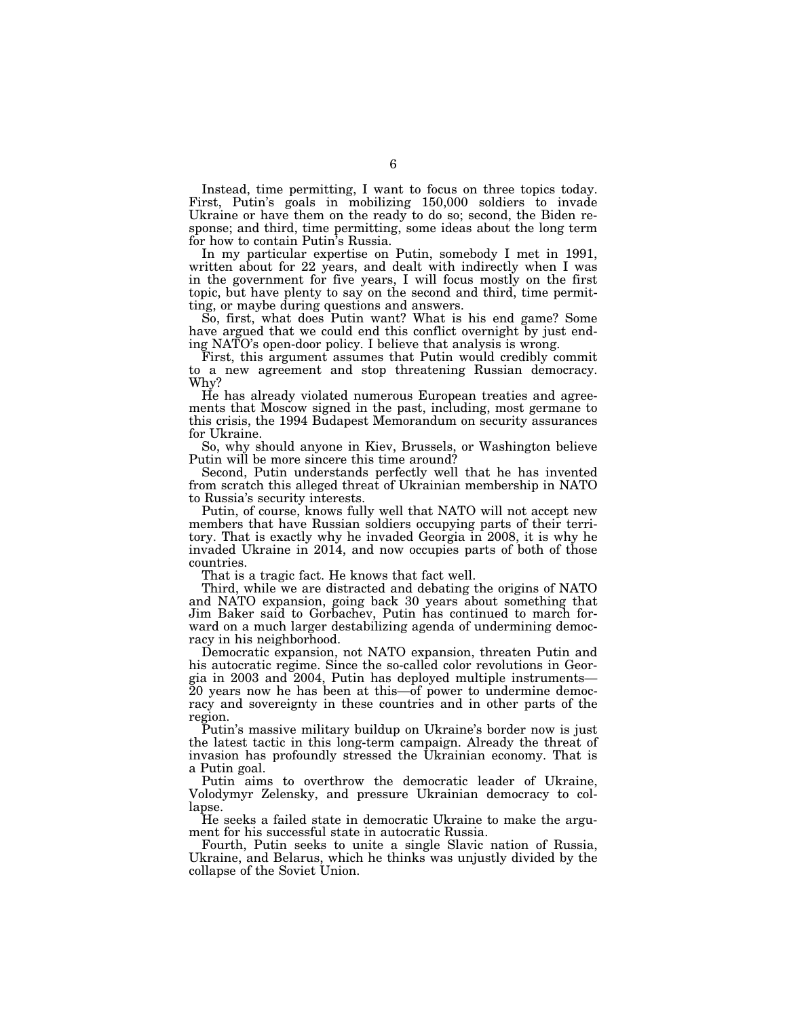Instead, time permitting, I want to focus on three topics today. First, Putin's goals in mobilizing 150,000 soldiers to invade Ukraine or have them on the ready to do so; second, the Biden response; and third, time permitting, some ideas about the long term for how to contain Putin's Russia.

In my particular expertise on Putin, somebody I met in 1991, written about for 22 years, and dealt with indirectly when I was in the government for five years, I will focus mostly on the first topic, but have plenty to say on the second and third, time permitting, or maybe during questions and answers.

So, first, what does Putin want? What is his end game? Some have argued that we could end this conflict overnight by just ending NATO's open-door policy. I believe that analysis is wrong.

First, this argument assumes that Putin would credibly commit to a new agreement and stop threatening Russian democracy. Why?

He has already violated numerous European treaties and agreements that Moscow signed in the past, including, most germane to this crisis, the 1994 Budapest Memorandum on security assurances for Ukraine.

So, why should anyone in Kiev, Brussels, or Washington believe Putin will be more sincere this time around?

Second, Putin understands perfectly well that he has invented from scratch this alleged threat of Ukrainian membership in NATO to Russia's security interests.

Putin, of course, knows fully well that NATO will not accept new members that have Russian soldiers occupying parts of their territory. That is exactly why he invaded Georgia in 2008, it is why he invaded Ukraine in 2014, and now occupies parts of both of those countries.

That is a tragic fact. He knows that fact well.

Third, while we are distracted and debating the origins of NATO and NATO expansion, going back 30 years about something that Jim Baker said to Gorbachev, Putin has continued to march forward on a much larger destabilizing agenda of undermining democracy in his neighborhood.

Democratic expansion, not NATO expansion, threaten Putin and his autocratic regime. Since the so-called color revolutions in Georgia in 2003 and 2004, Putin has deployed multiple instruments— 20 years now he has been at this—of power to undermine democracy and sovereignty in these countries and in other parts of the region.

Putin's massive military buildup on Ukraine's border now is just the latest tactic in this long-term campaign. Already the threat of invasion has profoundly stressed the Ukrainian economy. That is a Putin goal.

Putin aims to overthrow the democratic leader of Ukraine, Volodymyr Zelensky, and pressure Ukrainian democracy to collapse.

He seeks a failed state in democratic Ukraine to make the argument for his successful state in autocratic Russia.

Fourth, Putin seeks to unite a single Slavic nation of Russia, Ukraine, and Belarus, which he thinks was unjustly divided by the collapse of the Soviet Union.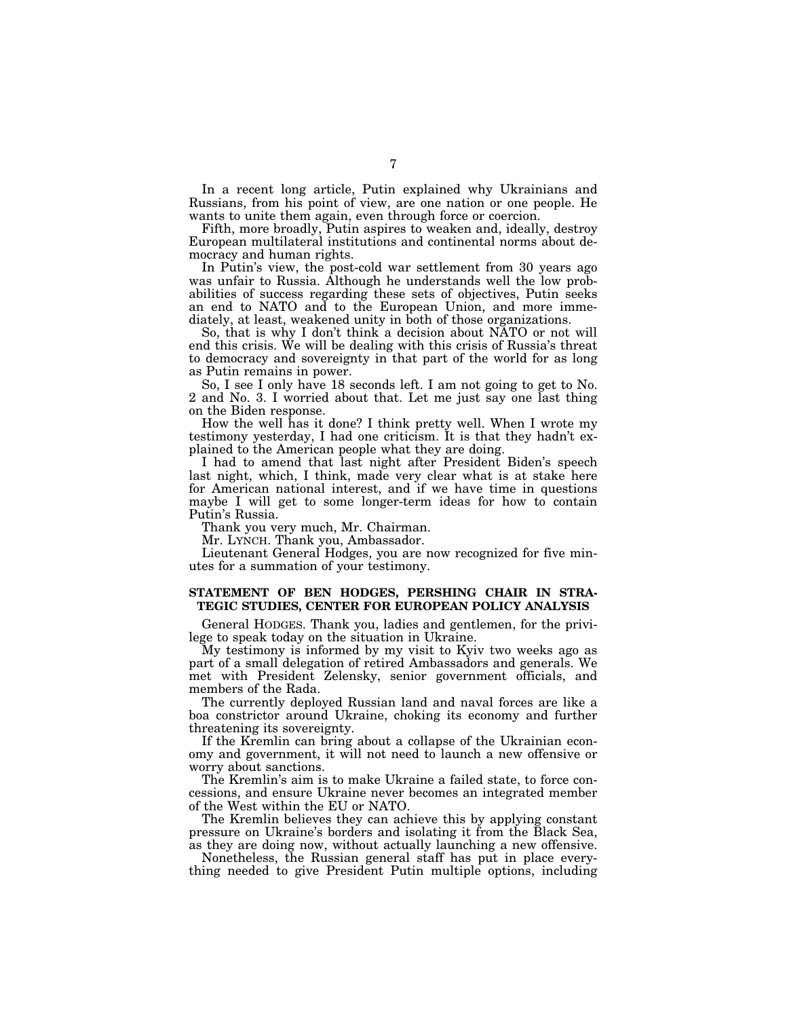In a recent long article, Putin explained why Ukrainians and Russians, from his point of view, are one nation or one people. He wants to unite them again, even through force or coercion.

Fifth, more broadly, Putin aspires to weaken and, ideally, destroy European multilateral institutions and continental norms about democracy and human rights.

In Putin's view, the post-cold war settlement from 30 years ago was unfair to Russia. Although he understands well the low probabilities of success regarding these sets of objectives, Putin seeks an end to NATO and to the European Union, and more immediately, at least, weakened unity in both of those organizations.

So, that is why I don't think a decision about NATO or not will end this crisis. We will be dealing with this crisis of Russia's threat to democracy and sovereignty in that part of the world for as long as Putin remains in power.

So, I see I only have 18 seconds left. I am not going to get to No. 2 and No. 3. I worried about that. Let me just say one last thing on the Biden response.

How the well has it done? I think pretty well. When I wrote my testimony yesterday, I had one criticism. It is that they hadn't explained to the American people what they are doing.

I had to amend that last night after President Biden's speech last night, which, I think, made very clear what is at stake here for American national interest, and if we have time in questions maybe I will get to some longer-term ideas for how to contain Putin's Russia.

Thank you very much, Mr. Chairman.

Mr. LYNCH. Thank you, Ambassador.

Lieutenant General Hodges, you are now recognized for five minutes for a summation of your testimony.

### **STATEMENT OF BEN HODGES, PERSHING CHAIR IN STRA-TEGIC STUDIES, CENTER FOR EUROPEAN POLICY ANALYSIS**

General HODGES. Thank you, ladies and gentlemen, for the privilege to speak today on the situation in Ukraine.

My testimony is informed by my visit to Kyiv two weeks ago as part of a small delegation of retired Ambassadors and generals. We met with President Zelensky, senior government officials, and members of the Rada.

The currently deployed Russian land and naval forces are like a boa constrictor around Ukraine, choking its economy and further threatening its sovereignty.

If the Kremlin can bring about a collapse of the Ukrainian economy and government, it will not need to launch a new offensive or worry about sanctions.

The Kremlin's aim is to make Ukraine a failed state, to force concessions, and ensure Ukraine never becomes an integrated member of the West within the EU or NATO.

The Kremlin believes they can achieve this by applying constant pressure on Ukraine's borders and isolating it from the Black Sea, as they are doing now, without actually launching a new offensive.

Nonetheless, the Russian general staff has put in place everything needed to give President Putin multiple options, including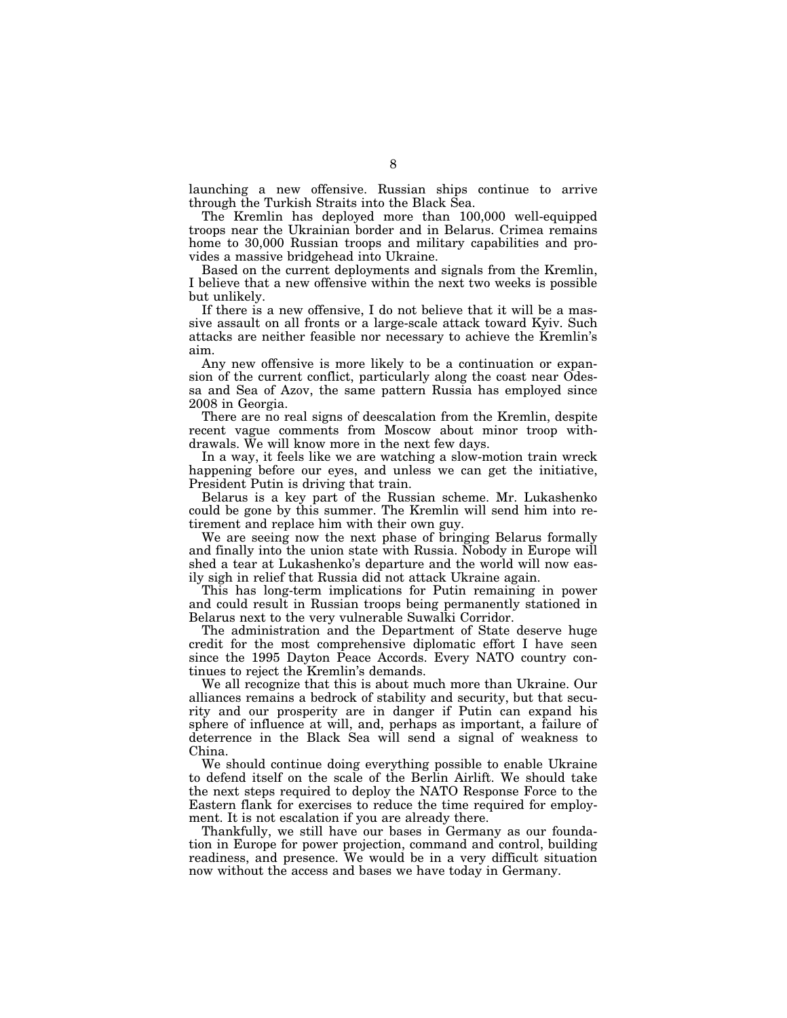launching a new offensive. Russian ships continue to arrive through the Turkish Straits into the Black Sea.

The Kremlin has deployed more than 100,000 well-equipped troops near the Ukrainian border and in Belarus. Crimea remains home to 30,000 Russian troops and military capabilities and provides a massive bridgehead into Ukraine.

Based on the current deployments and signals from the Kremlin, I believe that a new offensive within the next two weeks is possible but unlikely.

If there is a new offensive, I do not believe that it will be a massive assault on all fronts or a large-scale attack toward Kyiv. Such attacks are neither feasible nor necessary to achieve the Kremlin's aim.

Any new offensive is more likely to be a continuation or expansion of the current conflict, particularly along the coast near Odessa and Sea of Azov, the same pattern Russia has employed since 2008 in Georgia.

There are no real signs of deescalation from the Kremlin, despite recent vague comments from Moscow about minor troop withdrawals. We will know more in the next few days.

In a way, it feels like we are watching a slow-motion train wreck happening before our eyes, and unless we can get the initiative, President Putin is driving that train.

Belarus is a key part of the Russian scheme. Mr. Lukashenko could be gone by this summer. The Kremlin will send him into retirement and replace him with their own guy.

We are seeing now the next phase of bringing Belarus formally and finally into the union state with Russia. Nobody in Europe will shed a tear at Lukashenko's departure and the world will now easily sigh in relief that Russia did not attack Ukraine again.

This has long-term implications for Putin remaining in power and could result in Russian troops being permanently stationed in Belarus next to the very vulnerable Suwalki Corridor.

The administration and the Department of State deserve huge credit for the most comprehensive diplomatic effort I have seen since the 1995 Dayton Peace Accords. Every NATO country continues to reject the Kremlin's demands.

We all recognize that this is about much more than Ukraine. Our alliances remains a bedrock of stability and security, but that security and our prosperity are in danger if Putin can expand his sphere of influence at will, and, perhaps as important, a failure of deterrence in the Black Sea will send a signal of weakness to China.

We should continue doing everything possible to enable Ukraine to defend itself on the scale of the Berlin Airlift. We should take the next steps required to deploy the NATO Response Force to the Eastern flank for exercises to reduce the time required for employment. It is not escalation if you are already there.

Thankfully, we still have our bases in Germany as our foundation in Europe for power projection, command and control, building readiness, and presence. We would be in a very difficult situation now without the access and bases we have today in Germany.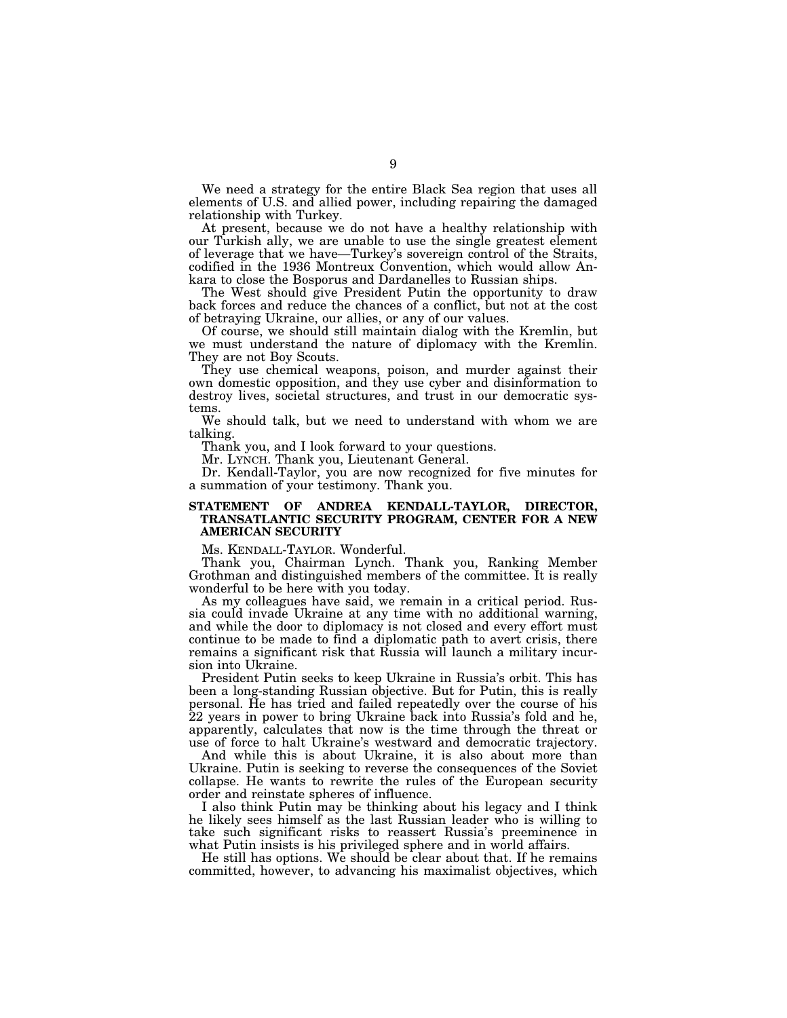We need a strategy for the entire Black Sea region that uses all elements of U.S. and allied power, including repairing the damaged relationship with Turkey.

At present, because we do not have a healthy relationship with our Turkish ally, we are unable to use the single greatest element of leverage that we have—Turkey's sovereign control of the Straits, codified in the 1936 Montreux Convention, which would allow Ankara to close the Bosporus and Dardanelles to Russian ships.

The West should give President Putin the opportunity to draw back forces and reduce the chances of a conflict, but not at the cost of betraying Ukraine, our allies, or any of our values.

Of course, we should still maintain dialog with the Kremlin, but we must understand the nature of diplomacy with the Kremlin. They are not Boy Scouts.

They use chemical weapons, poison, and murder against their own domestic opposition, and they use cyber and disinformation to destroy lives, societal structures, and trust in our democratic systems.

We should talk, but we need to understand with whom we are talking.

Thank you, and I look forward to your questions.

Mr. LYNCH. Thank you, Lieutenant General.

Dr. Kendall-Taylor, you are now recognized for five minutes for a summation of your testimony. Thank you.

### **STATEMENT OF ANDREA KENDALL-TAYLOR, DIRECTOR, TRANSATLANTIC SECURITY PROGRAM, CENTER FOR A NEW AMERICAN SECURITY**

Ms. KENDALL-TAYLOR. Wonderful.

Thank you, Chairman Lynch. Thank you, Ranking Member Grothman and distinguished members of the committee. It is really wonderful to be here with you today.

As my colleagues have said, we remain in a critical period. Russia could invade Ukraine at any time with no additional warning, and while the door to diplomacy is not closed and every effort must continue to be made to find a diplomatic path to avert crisis, there remains a significant risk that Russia will launch a military incursion into Ukraine.

President Putin seeks to keep Ukraine in Russia's orbit. This has been a long-standing Russian objective. But for Putin, this is really personal. He has tried and failed repeatedly over the course of his 22 years in power to bring Ukraine back into Russia's fold and he, apparently, calculates that now is the time through the threat or use of force to halt Ukraine's westward and democratic trajectory.

And while this is about Ukraine, it is also about more than Ukraine. Putin is seeking to reverse the consequences of the Soviet collapse. He wants to rewrite the rules of the European security order and reinstate spheres of influence.

I also think Putin may be thinking about his legacy and I think he likely sees himself as the last Russian leader who is willing to take such significant risks to reassert Russia's preeminence in what Putin insists is his privileged sphere and in world affairs.

He still has options. We should be clear about that. If he remains committed, however, to advancing his maximalist objectives, which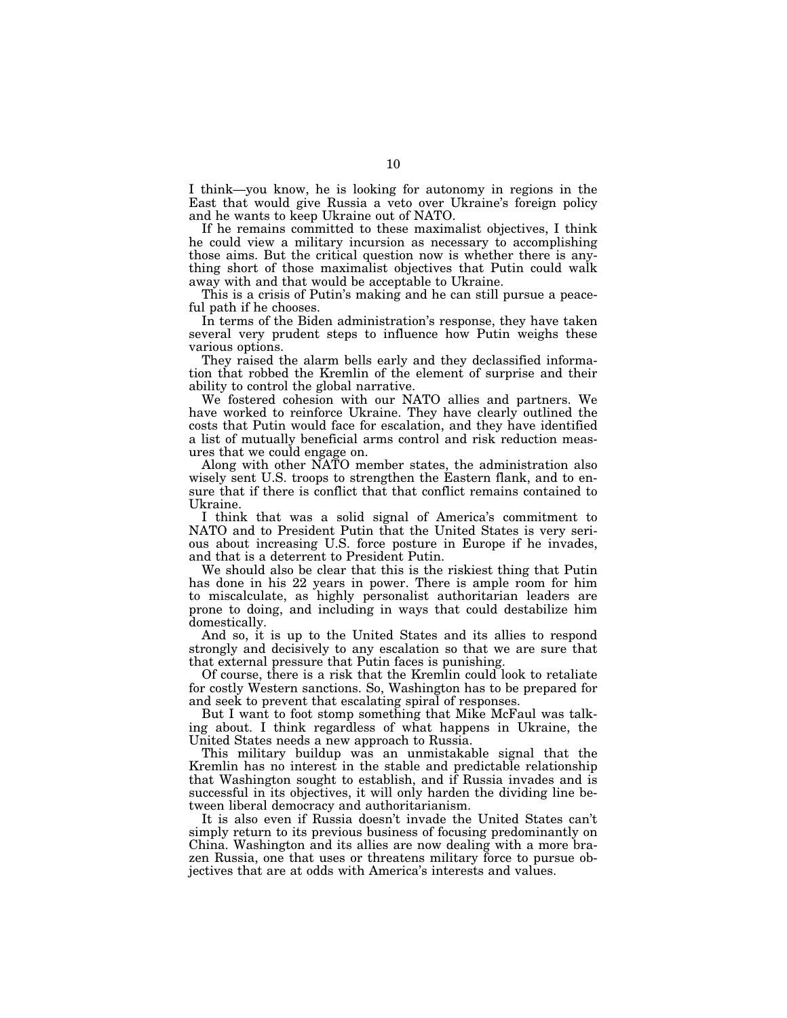I think—you know, he is looking for autonomy in regions in the East that would give Russia a veto over Ukraine's foreign policy and he wants to keep Ukraine out of NATO.

If he remains committed to these maximalist objectives, I think he could view a military incursion as necessary to accomplishing those aims. But the critical question now is whether there is anything short of those maximalist objectives that Putin could walk away with and that would be acceptable to Ukraine.

This is a crisis of Putin's making and he can still pursue a peaceful path if he chooses.

In terms of the Biden administration's response, they have taken several very prudent steps to influence how Putin weighs these various options.

They raised the alarm bells early and they declassified information that robbed the Kremlin of the element of surprise and their ability to control the global narrative.

We fostered cohesion with our NATO allies and partners. We have worked to reinforce Ukraine. They have clearly outlined the costs that Putin would face for escalation, and they have identified a list of mutually beneficial arms control and risk reduction measures that we could engage on.

Along with other NATO member states, the administration also wisely sent U.S. troops to strengthen the Eastern flank, and to ensure that if there is conflict that that conflict remains contained to Ukraine.

I think that was a solid signal of America's commitment to NATO and to President Putin that the United States is very serious about increasing U.S. force posture in Europe if he invades, and that is a deterrent to President Putin.

We should also be clear that this is the riskiest thing that Putin has done in his 22 years in power. There is ample room for him to miscalculate, as highly personalist authoritarian leaders are prone to doing, and including in ways that could destabilize him domestically.

And so, it is up to the United States and its allies to respond strongly and decisively to any escalation so that we are sure that that external pressure that Putin faces is punishing.

Of course, there is a risk that the Kremlin could look to retaliate for costly Western sanctions. So, Washington has to be prepared for and seek to prevent that escalating spiral of responses.

But I want to foot stomp something that Mike McFaul was talking about. I think regardless of what happens in Ukraine, the United States needs a new approach to Russia.

This military buildup was an unmistakable signal that the Kremlin has no interest in the stable and predictable relationship that Washington sought to establish, and if Russia invades and is successful in its objectives, it will only harden the dividing line between liberal democracy and authoritarianism.

It is also even if Russia doesn't invade the United States can't simply return to its previous business of focusing predominantly on China. Washington and its allies are now dealing with a more brazen Russia, one that uses or threatens military force to pursue objectives that are at odds with America's interests and values.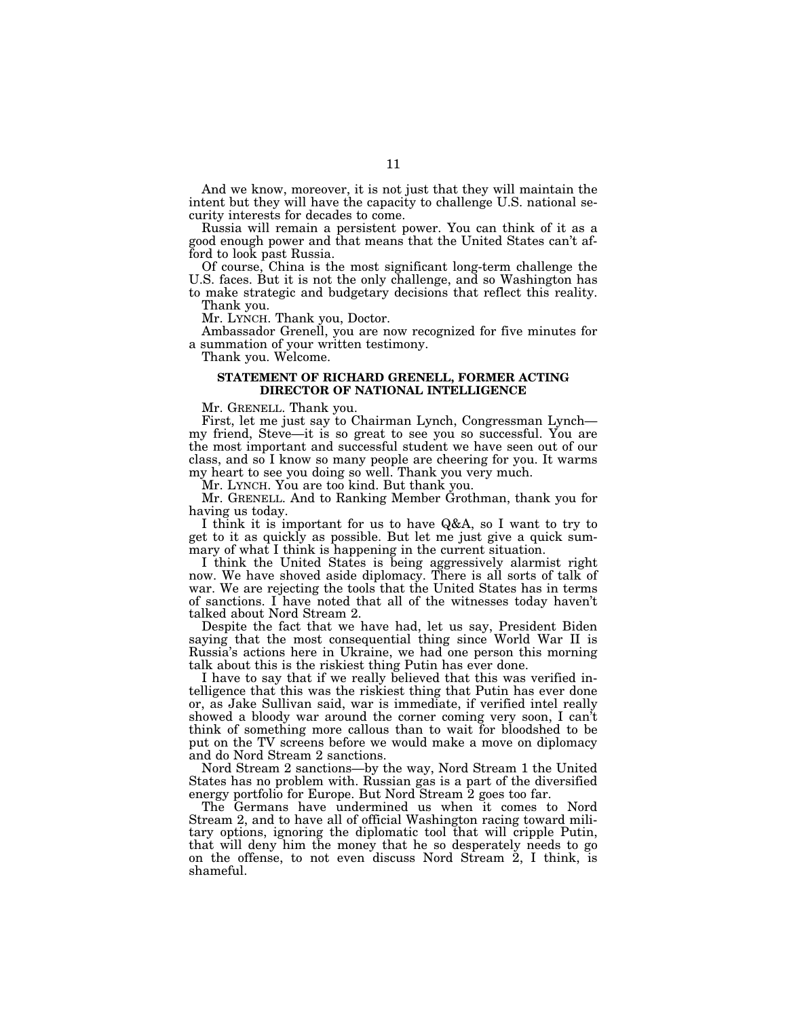And we know, moreover, it is not just that they will maintain the intent but they will have the capacity to challenge U.S. national security interests for decades to come.

Russia will remain a persistent power. You can think of it as a good enough power and that means that the United States can't afford to look past Russia.

Of course, China is the most significant long-term challenge the U.S. faces. But it is not the only challenge, and so Washington has to make strategic and budgetary decisions that reflect this reality. Thank you.

Mr. LYNCH. Thank you, Doctor.

Ambassador Grenell, you are now recognized for five minutes for a summation of your written testimony.

Thank you. Welcome.

### **STATEMENT OF RICHARD GRENELL, FORMER ACTING DIRECTOR OF NATIONAL INTELLIGENCE**

Mr. GRENELL. Thank you.

First, let me just say to Chairman Lynch, Congressman Lynch my friend, Steve—it is so great to see you so successful. You are the most important and successful student we have seen out of our class, and so I know so many people are cheering for you. It warms my heart to see you doing so well. Thank you very much.

Mr. LYNCH. You are too kind. But thank you.

Mr. GRENELL. And to Ranking Member Grothman, thank you for having us today.

I think it is important for us to have Q&A, so I want to try to get to it as quickly as possible. But let me just give a quick summary of what I think is happening in the current situation.

I think the United States is being aggressively alarmist right now. We have shoved aside diplomacy. There is all sorts of talk of war. We are rejecting the tools that the United States has in terms of sanctions. I have noted that all of the witnesses today haven't talked about Nord Stream 2.

Despite the fact that we have had, let us say, President Biden saying that the most consequential thing since World War II is Russia's actions here in Ukraine, we had one person this morning talk about this is the riskiest thing Putin has ever done.

I have to say that if we really believed that this was verified intelligence that this was the riskiest thing that Putin has ever done or, as Jake Sullivan said, war is immediate, if verified intel really showed a bloody war around the corner coming very soon, I can't think of something more callous than to wait for bloodshed to be put on the TV screens before we would make a move on diplomacy and do Nord Stream 2 sanctions.

Nord Stream 2 sanctions—by the way, Nord Stream 1 the United States has no problem with. Russian gas is a part of the diversified energy portfolio for Europe. But Nord Stream 2 goes too far.

The Germans have undermined us when it comes to Nord Stream 2, and to have all of official Washington racing toward military options, ignoring the diplomatic tool that will cripple Putin, that will deny him the money that he so desperately needs to go on the offense, to not even discuss Nord Stream 2, I think, is shameful.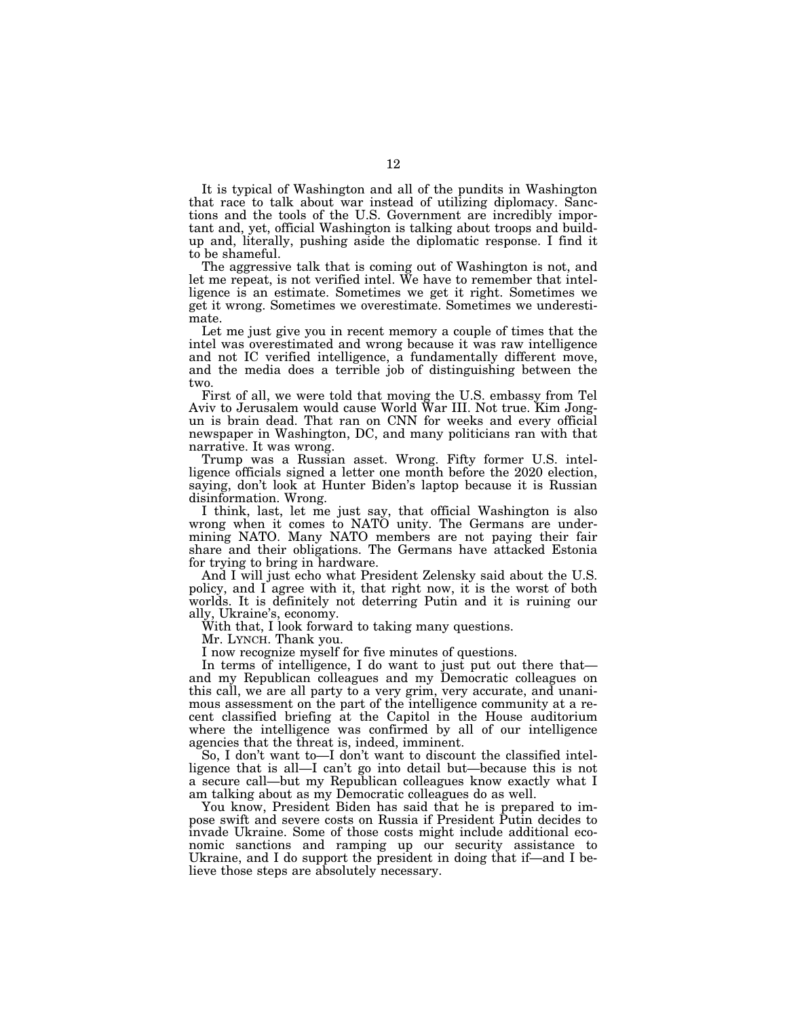It is typical of Washington and all of the pundits in Washington that race to talk about war instead of utilizing diplomacy. Sanctions and the tools of the U.S. Government are incredibly important and, yet, official Washington is talking about troops and buildup and, literally, pushing aside the diplomatic response. I find it to be shameful.

The aggressive talk that is coming out of Washington is not, and let me repeat, is not verified intel. We have to remember that intelligence is an estimate. Sometimes we get it right. Sometimes we get it wrong. Sometimes we overestimate. Sometimes we underestimate.

Let me just give you in recent memory a couple of times that the intel was overestimated and wrong because it was raw intelligence and not IC verified intelligence, a fundamentally different move, and the media does a terrible job of distinguishing between the two.

First of all, we were told that moving the U.S. embassy from Tel Aviv to Jerusalem would cause World War III. Not true. Kim Jongun is brain dead. That ran on CNN for weeks and every official newspaper in Washington, DC, and many politicians ran with that narrative. It was wrong.

Trump was a Russian asset. Wrong. Fifty former U.S. intelligence officials signed a letter one month before the 2020 election, saying, don't look at Hunter Biden's laptop because it is Russian disinformation. Wrong.

I think, last, let me just say, that official Washington is also wrong when it comes to NATO unity. The Germans are undermining NATO. Many NATO members are not paying their fair share and their obligations. The Germans have attacked Estonia for trying to bring in hardware.

And I will just echo what President Zelensky said about the U.S. policy, and I agree with it, that right now, it is the worst of both worlds. It is definitely not deterring Putin and it is ruining our ally, Ukraine's, economy.

With that, I look forward to taking many questions.

Mr. LYNCH. Thank you.

I now recognize myself for five minutes of questions.

In terms of intelligence, I do want to just put out there that and my Republican colleagues and my Democratic colleagues on this call, we are all party to a very grim, very accurate, and unanimous assessment on the part of the intelligence community at a recent classified briefing at the Capitol in the House auditorium where the intelligence was confirmed by all of our intelligence agencies that the threat is, indeed, imminent.

So, I don't want to—I don't want to discount the classified intelligence that is all—I can't go into detail but—because this is not a secure call—but my Republican colleagues know exactly what I am talking about as my Democratic colleagues do as well.

You know, President Biden has said that he is prepared to impose swift and severe costs on Russia if President Putin decides to invade Ukraine. Some of those costs might include additional economic sanctions and ramping up our security assistance to Ukraine, and I do support the president in doing that if—and I believe those steps are absolutely necessary.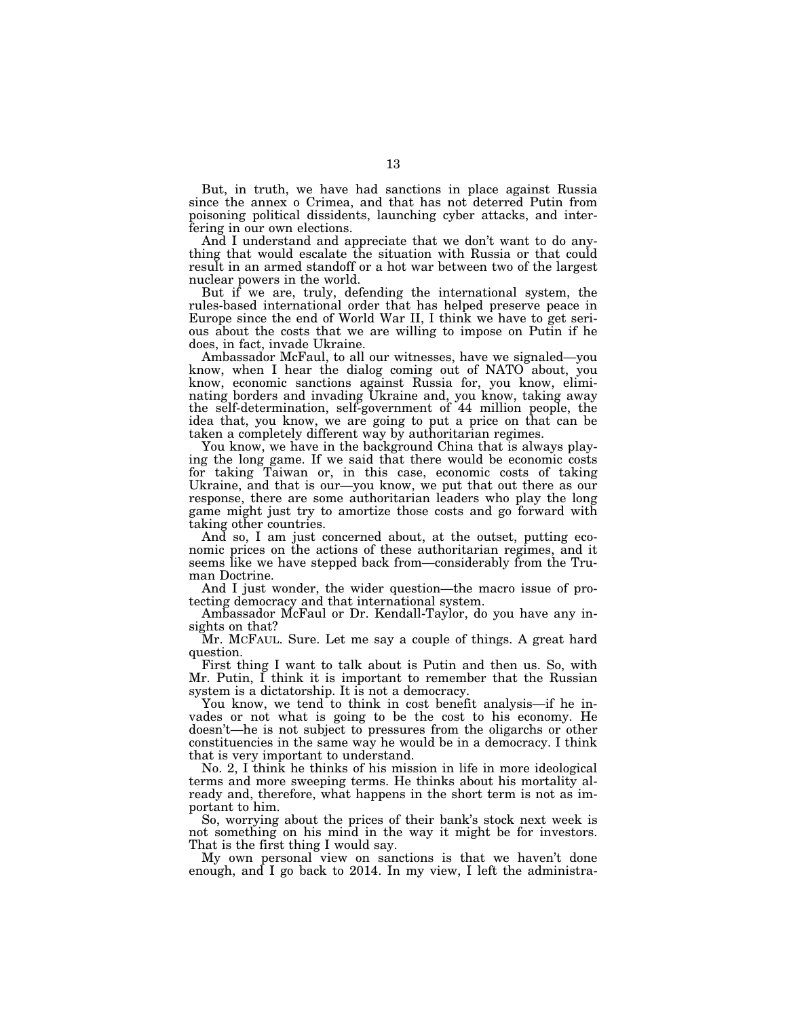But, in truth, we have had sanctions in place against Russia since the annex o Crimea, and that has not deterred Putin from poisoning political dissidents, launching cyber attacks, and interfering in our own elections.

And I understand and appreciate that we don't want to do anything that would escalate the situation with Russia or that could result in an armed standoff or a hot war between two of the largest nuclear powers in the world.

But if we are, truly, defending the international system, the rules-based international order that has helped preserve peace in Europe since the end of World War II, I think we have to get serious about the costs that we are willing to impose on Putin if he does, in fact, invade Ukraine.

Ambassador McFaul, to all our witnesses, have we signaled—you know, when I hear the dialog coming out of NATO about, you know, economic sanctions against Russia for, you know, eliminating borders and invading Ukraine and, you know, taking away the self-determination, self-government of 44 million people, the idea that, you know, we are going to put a price on that can be taken a completely different way by authoritarian regimes.

You know, we have in the background China that is always playing the long game. If we said that there would be economic costs for taking Taiwan or, in this case, economic costs of taking Ukraine, and that is our—you know, we put that out there as our response, there are some authoritarian leaders who play the long game might just try to amortize those costs and go forward with taking other countries.

And so, I am just concerned about, at the outset, putting economic prices on the actions of these authoritarian regimes, and it seems like we have stepped back from—considerably from the Truman Doctrine.

And I just wonder, the wider question—the macro issue of protecting democracy and that international system.

Ambassador McFaul or Dr. Kendall-Taylor, do you have any insights on that?

Mr. MCFAUL. Sure. Let me say a couple of things. A great hard question.

First thing I want to talk about is Putin and then us. So, with Mr. Putin, I think it is important to remember that the Russian system is a dictatorship. It is not a democracy.

You know, we tend to think in cost benefit analysis—if he invades or not what is going to be the cost to his economy. He doesn't—he is not subject to pressures from the oligarchs or other constituencies in the same way he would be in a democracy. I think that is very important to understand.

No. 2, I think he thinks of his mission in life in more ideological terms and more sweeping terms. He thinks about his mortality already and, therefore, what happens in the short term is not as important to him.

So, worrying about the prices of their bank's stock next week is not something on his mind in the way it might be for investors. That is the first thing I would say.

My own personal view on sanctions is that we haven't done enough, and I go back to 2014. In my view, I left the administra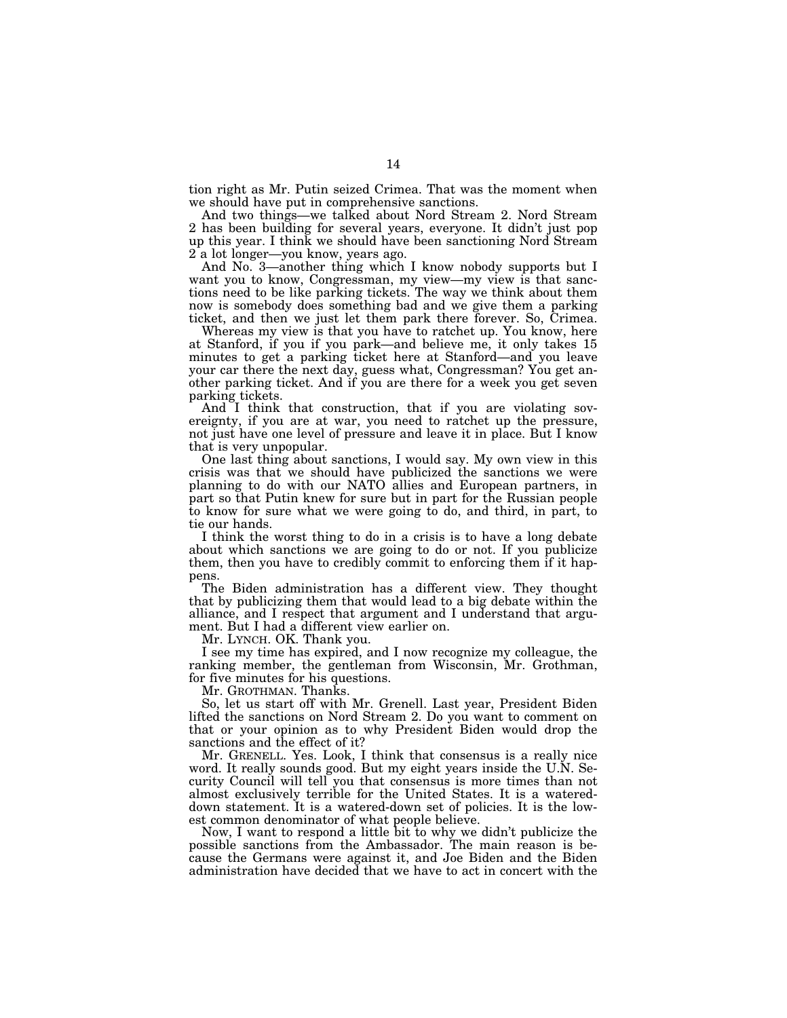tion right as Mr. Putin seized Crimea. That was the moment when we should have put in comprehensive sanctions.

And two things—we talked about Nord Stream 2. Nord Stream 2 has been building for several years, everyone. It didn't just pop up this year. I think we should have been sanctioning Nord Stream 2 a lot longer—you know, years ago.

And No. 3—another thing which I know nobody supports but I want you to know, Congressman, my view—my view is that sanctions need to be like parking tickets. The way we think about them now is somebody does something bad and we give them a parking ticket, and then we just let them park there forever. So, Crimea.

Whereas my view is that you have to ratchet up. You know, here at Stanford, if you if you park—and believe me, it only takes 15 minutes to get a parking ticket here at Stanford—and you leave your car there the next day, guess what, Congressman? You get another parking ticket. And if you are there for a week you get seven parking tickets.

And I think that construction, that if you are violating sovereignty, if you are at war, you need to ratchet up the pressure, not just have one level of pressure and leave it in place. But I know that is very unpopular.

One last thing about sanctions, I would say. My own view in this crisis was that we should have publicized the sanctions we were planning to do with our NATO allies and European partners, in part so that Putin knew for sure but in part for the Russian people to know for sure what we were going to do, and third, in part, to tie our hands.

I think the worst thing to do in a crisis is to have a long debate about which sanctions we are going to do or not. If you publicize them, then you have to credibly commit to enforcing them if it happens.

The Biden administration has a different view. They thought that by publicizing them that would lead to a big debate within the alliance, and I respect that argument and I understand that argument. But I had a different view earlier on.

Mr. LYNCH. OK. Thank you.

I see my time has expired, and I now recognize my colleague, the ranking member, the gentleman from Wisconsin, Mr. Grothman, for five minutes for his questions.

Mr. GROTHMAN. Thanks.

So, let us start off with Mr. Grenell. Last year, President Biden lifted the sanctions on Nord Stream 2. Do you want to comment on that or your opinion as to why President Biden would drop the sanctions and the effect of it?

Mr. GRENELL. Yes. Look, I think that consensus is a really nice word. It really sounds good. But my eight years inside the U.N. Security Council will tell you that consensus is more times than not almost exclusively terrible for the United States. It is a watereddown statement. It is a watered-down set of policies. It is the lowest common denominator of what people believe.

Now, I want to respond a little bit to why we didn't publicize the possible sanctions from the Ambassador. The main reason is because the Germans were against it, and Joe Biden and the Biden administration have decided that we have to act in concert with the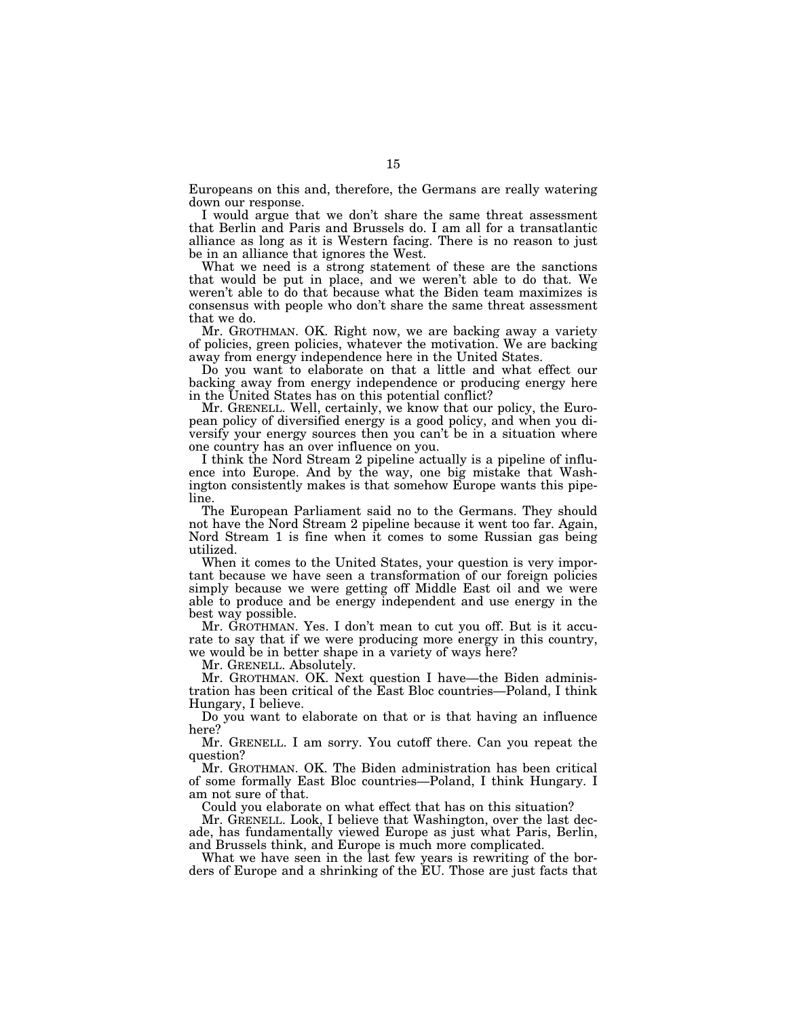Europeans on this and, therefore, the Germans are really watering down our response.

I would argue that we don't share the same threat assessment that Berlin and Paris and Brussels do. I am all for a transatlantic alliance as long as it is Western facing. There is no reason to just be in an alliance that ignores the West.

What we need is a strong statement of these are the sanctions that would be put in place, and we weren't able to do that. We weren't able to do that because what the Biden team maximizes is consensus with people who don't share the same threat assessment that we do.

Mr. GROTHMAN. OK. Right now, we are backing away a variety of policies, green policies, whatever the motivation. We are backing away from energy independence here in the United States.

Do you want to elaborate on that a little and what effect our backing away from energy independence or producing energy here in the United States has on this potential conflict?

Mr. GRENELL. Well, certainly, we know that our policy, the European policy of diversified energy is a good policy, and when you diversify your energy sources then you can't be in a situation where one country has an over influence on you.

I think the Nord Stream 2 pipeline actually is a pipeline of influence into Europe. And by the way, one big mistake that Washington consistently makes is that somehow Europe wants this pipeline.

The European Parliament said no to the Germans. They should not have the Nord Stream 2 pipeline because it went too far. Again, Nord Stream 1 is fine when it comes to some Russian gas being utilized.

When it comes to the United States, your question is very important because we have seen a transformation of our foreign policies simply because we were getting off Middle East oil and we were able to produce and be energy independent and use energy in the best way possible.

Mr. GROTHMAN. Yes. I don't mean to cut you off. But is it accurate to say that if we were producing more energy in this country, we would be in better shape in a variety of ways here?

Mr. GRENELL. Absolutely.

Mr. GROTHMAN. OK. Next question I have—the Biden administration has been critical of the East Bloc countries—Poland, I think Hungary, I believe.

Do you want to elaborate on that or is that having an influence here?

Mr. GRENELL. I am sorry. You cutoff there. Can you repeat the question?

Mr. GROTHMAN. OK. The Biden administration has been critical of some formally East Bloc countries—Poland, I think Hungary. I am not sure of that.

Could you elaborate on what effect that has on this situation?

Mr. GRENELL. Look, I believe that Washington, over the last decade, has fundamentally viewed Europe as just what Paris, Berlin, and Brussels think, and Europe is much more complicated.

What we have seen in the last few years is rewriting of the borders of Europe and a shrinking of the EU. Those are just facts that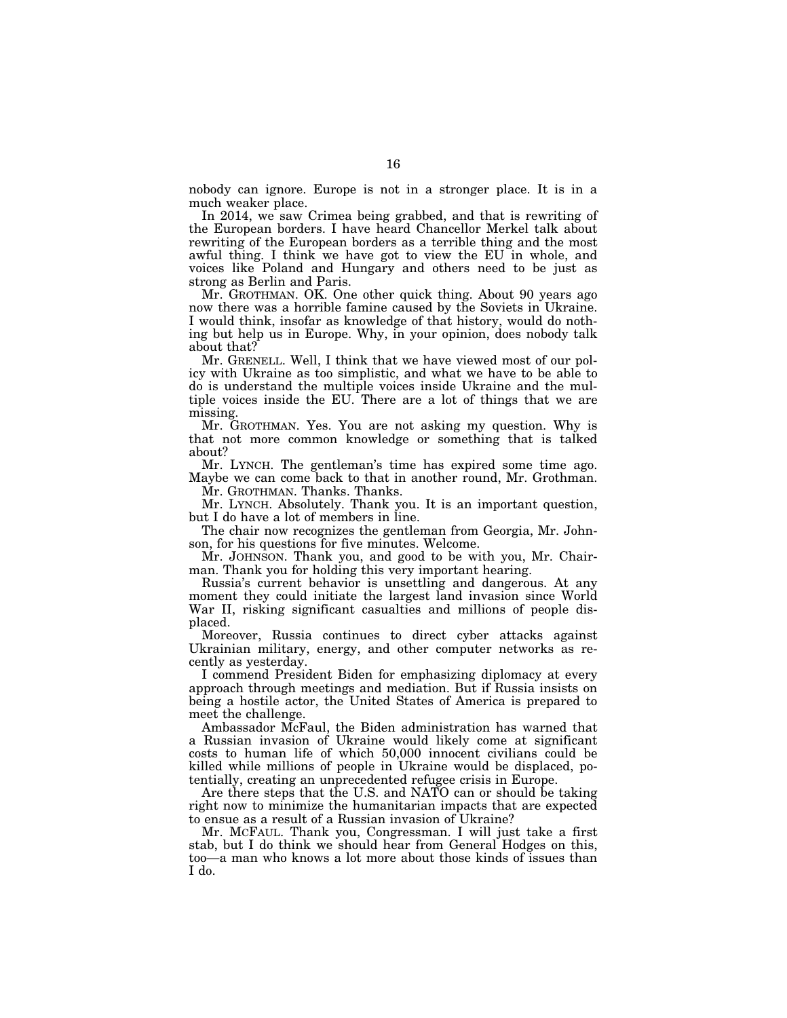nobody can ignore. Europe is not in a stronger place. It is in a much weaker place.

In 2014, we saw Crimea being grabbed, and that is rewriting of the European borders. I have heard Chancellor Merkel talk about rewriting of the European borders as a terrible thing and the most awful thing. I think we have got to view the EU in whole, and voices like Poland and Hungary and others need to be just as strong as Berlin and Paris.

Mr. GROTHMAN. OK. One other quick thing. About 90 years ago now there was a horrible famine caused by the Soviets in Ukraine. I would think, insofar as knowledge of that history, would do nothing but help us in Europe. Why, in your opinion, does nobody talk about that?

Mr. GRENELL. Well, I think that we have viewed most of our policy with Ukraine as too simplistic, and what we have to be able to do is understand the multiple voices inside Ukraine and the multiple voices inside the EU. There are a lot of things that we are missing.

Mr. GROTHMAN. Yes. You are not asking my question. Why is that not more common knowledge or something that is talked about?

Mr. LYNCH. The gentleman's time has expired some time ago. Maybe we can come back to that in another round, Mr. Grothman.

Mr. GROTHMAN. Thanks. Thanks.

Mr. LYNCH. Absolutely. Thank you. It is an important question, but I do have a lot of members in line.

The chair now recognizes the gentleman from Georgia, Mr. Johnson, for his questions for five minutes. Welcome.

Mr. JOHNSON. Thank you, and good to be with you, Mr. Chairman. Thank you for holding this very important hearing.

Russia's current behavior is unsettling and dangerous. At any moment they could initiate the largest land invasion since World War II, risking significant casualties and millions of people displaced.

Moreover, Russia continues to direct cyber attacks against Ukrainian military, energy, and other computer networks as recently as yesterday.

I commend President Biden for emphasizing diplomacy at every approach through meetings and mediation. But if Russia insists on being a hostile actor, the United States of America is prepared to meet the challenge.

Ambassador McFaul, the Biden administration has warned that a Russian invasion of Ukraine would likely come at significant costs to human life of which 50,000 innocent civilians could be killed while millions of people in Ukraine would be displaced, potentially, creating an unprecedented refugee crisis in Europe.

Are there steps that the U.S. and NATO can or should be taking right now to minimize the humanitarian impacts that are expected to ensue as a result of a Russian invasion of Ukraine?

Mr. MCFAUL. Thank you, Congressman. I will just take a first stab, but I do think we should hear from General Hodges on this, too—a man who knows a lot more about those kinds of issues than I do.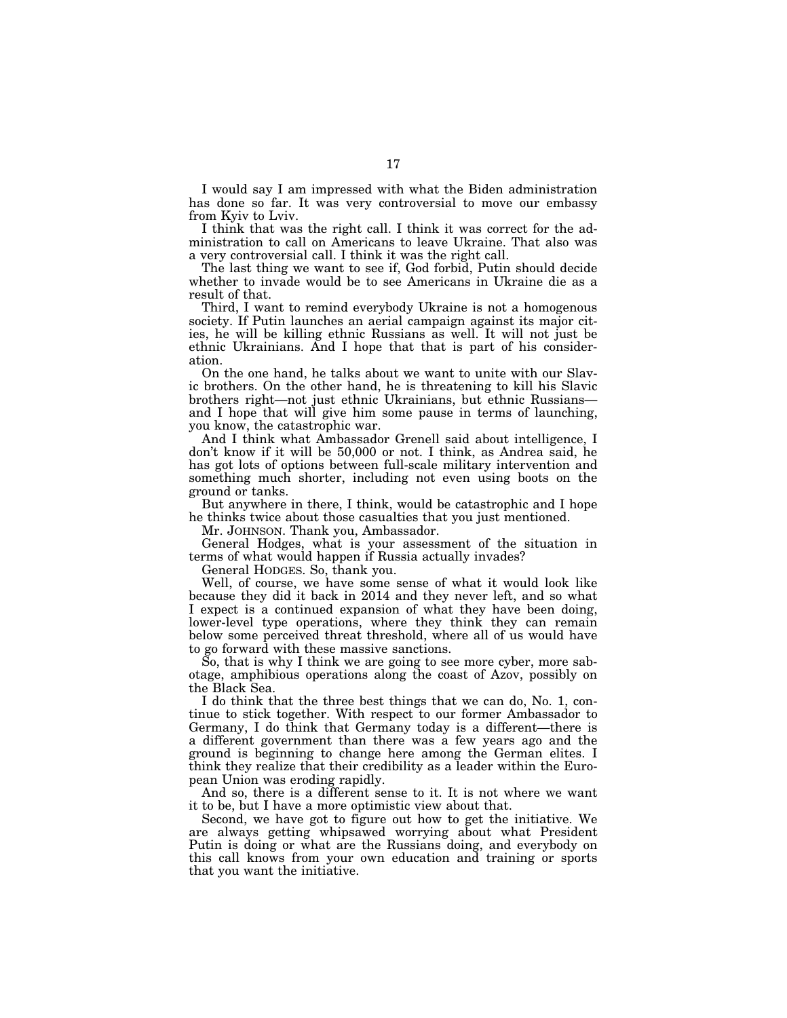I would say I am impressed with what the Biden administration has done so far. It was very controversial to move our embassy from Kyiv to Lviv.

I think that was the right call. I think it was correct for the administration to call on Americans to leave Ukraine. That also was a very controversial call. I think it was the right call.

The last thing we want to see if, God forbid, Putin should decide whether to invade would be to see Americans in Ukraine die as a result of that.

Third, I want to remind everybody Ukraine is not a homogenous society. If Putin launches an aerial campaign against its major cities, he will be killing ethnic Russians as well. It will not just be ethnic Ukrainians. And I hope that that is part of his consideration.

On the one hand, he talks about we want to unite with our Slavic brothers. On the other hand, he is threatening to kill his Slavic brothers right—not just ethnic Ukrainians, but ethnic Russians and I hope that will give him some pause in terms of launching, you know, the catastrophic war.

And I think what Ambassador Grenell said about intelligence, I don't know if it will be 50,000 or not. I think, as Andrea said, he has got lots of options between full-scale military intervention and something much shorter, including not even using boots on the ground or tanks.

But anywhere in there, I think, would be catastrophic and I hope he thinks twice about those casualties that you just mentioned.

Mr. JOHNSON. Thank you, Ambassador.

General Hodges, what is your assessment of the situation in terms of what would happen if Russia actually invades?

General HODGES. So, thank you.

Well, of course, we have some sense of what it would look like because they did it back in 2014 and they never left, and so what I expect is a continued expansion of what they have been doing, lower-level type operations, where they think they can remain below some perceived threat threshold, where all of us would have to go forward with these massive sanctions.

So, that is why I think we are going to see more cyber, more sabotage, amphibious operations along the coast of Azov, possibly on the Black Sea.

I do think that the three best things that we can do, No. 1, continue to stick together. With respect to our former Ambassador to Germany, I do think that Germany today is a different—there is a different government than there was a few years ago and the ground is beginning to change here among the German elites. I think they realize that their credibility as a leader within the European Union was eroding rapidly.

And so, there is a different sense to it. It is not where we want it to be, but I have a more optimistic view about that.

Second, we have got to figure out how to get the initiative. We are always getting whipsawed worrying about what President Putin is doing or what are the Russians doing, and everybody on this call knows from your own education and training or sports that you want the initiative.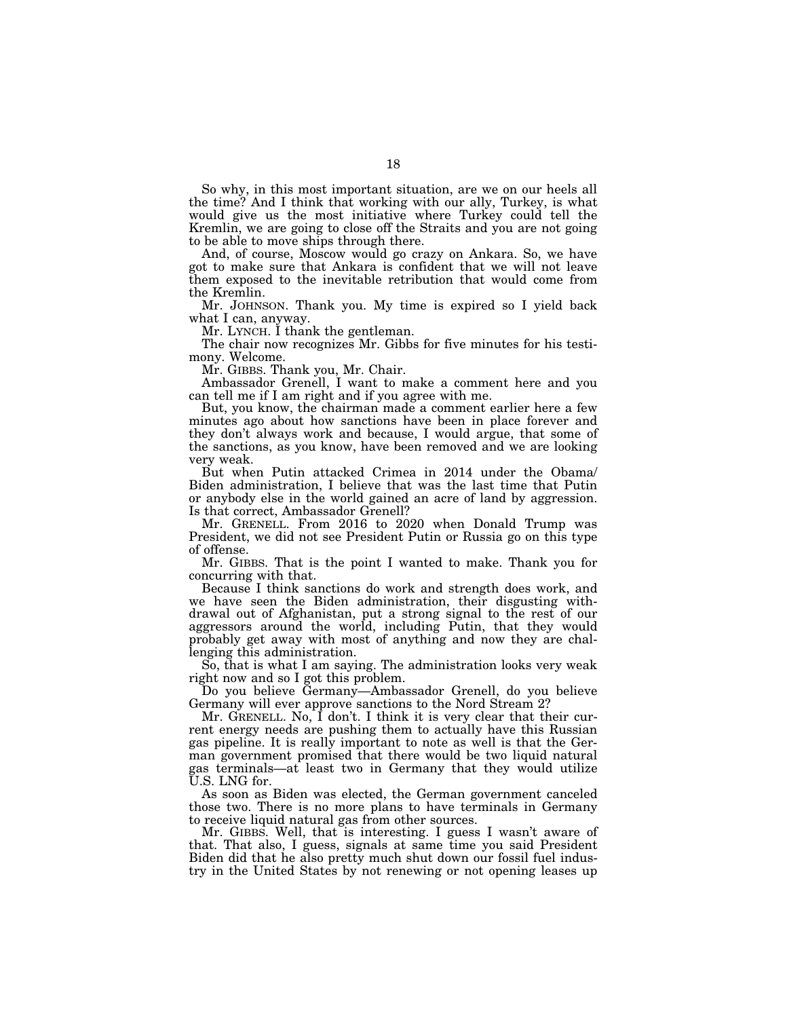So why, in this most important situation, are we on our heels all the time? And I think that working with our ally, Turkey, is what would give us the most initiative where Turkey could tell the Kremlin, we are going to close off the Straits and you are not going to be able to move ships through there.

And, of course, Moscow would go crazy on Ankara. So, we have got to make sure that Ankara is confident that we will not leave them exposed to the inevitable retribution that would come from the Kremlin.

Mr. JOHNSON. Thank you. My time is expired so I yield back what I can, anyway.

Mr. LYNCH. I thank the gentleman.

The chair now recognizes Mr. Gibbs for five minutes for his testimony. Welcome.

Mr. GIBBS. Thank you, Mr. Chair.

Ambassador Grenell, I want to make a comment here and you can tell me if I am right and if you agree with me.

But, you know, the chairman made a comment earlier here a few minutes ago about how sanctions have been in place forever and they don't always work and because, I would argue, that some of the sanctions, as you know, have been removed and we are looking very weak.

But when Putin attacked Crimea in 2014 under the Obama/ Biden administration, I believe that was the last time that Putin or anybody else in the world gained an acre of land by aggression. Is that correct, Ambassador Grenell?

Mr. GRENELL. From 2016 to 2020 when Donald Trump was President, we did not see President Putin or Russia go on this type of offense.

Mr. GIBBS. That is the point I wanted to make. Thank you for concurring with that.

Because I think sanctions do work and strength does work, and we have seen the Biden administration, their disgusting withdrawal out of Afghanistan, put a strong signal to the rest of our aggressors around the world, including Putin, that they would probably get away with most of anything and now they are challenging this administration.

So, that is what I am saying. The administration looks very weak right now and so I got this problem.

Do you believe Germany—Ambassador Grenell, do you believe Germany will ever approve sanctions to the Nord Stream 2?

Mr. GRENELL. No, I don't. I think it is very clear that their current energy needs are pushing them to actually have this Russian gas pipeline. It is really important to note as well is that the German government promised that there would be two liquid natural gas terminals—at least two in Germany that they would utilize U.S. LNG for.

As soon as Biden was elected, the German government canceled those two. There is no more plans to have terminals in Germany to receive liquid natural gas from other sources.

Mr. GIBBS. Well, that is interesting. I guess I wasn't aware of that. That also, I guess, signals at same time you said President Biden did that he also pretty much shut down our fossil fuel industry in the United States by not renewing or not opening leases up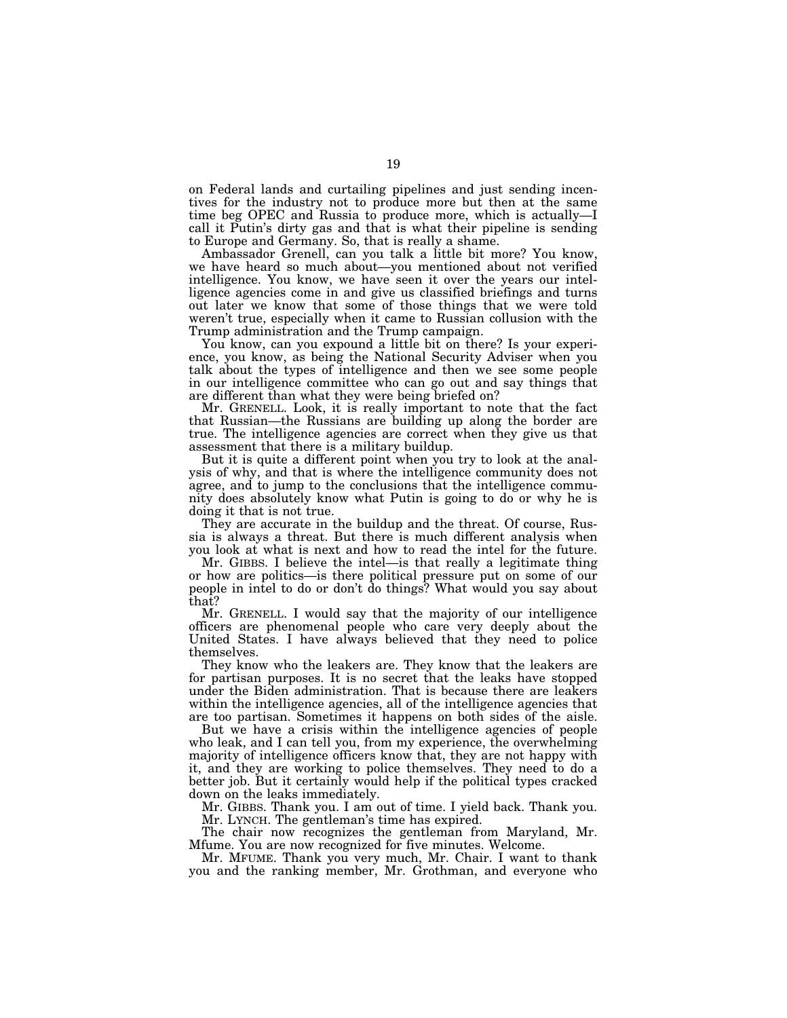on Federal lands and curtailing pipelines and just sending incentives for the industry not to produce more but then at the same time beg OPEC and Russia to produce more, which is actually—I call it Putin's dirty gas and that is what their pipeline is sending to Europe and Germany. So, that is really a shame.

Ambassador Grenell, can you talk a little bit more? You know, we have heard so much about—you mentioned about not verified intelligence. You know, we have seen it over the years our intelligence agencies come in and give us classified briefings and turns out later we know that some of those things that we were told weren't true, especially when it came to Russian collusion with the Trump administration and the Trump campaign.

You know, can you expound a little bit on there? Is your experience, you know, as being the National Security Adviser when you talk about the types of intelligence and then we see some people in our intelligence committee who can go out and say things that are different than what they were being briefed on?

Mr. GRENELL. Look, it is really important to note that the fact that Russian—the Russians are building up along the border are true. The intelligence agencies are correct when they give us that assessment that there is a military buildup.

But it is quite a different point when you try to look at the analysis of why, and that is where the intelligence community does not agree, and to jump to the conclusions that the intelligence community does absolutely know what Putin is going to do or why he is doing it that is not true.

They are accurate in the buildup and the threat. Of course, Russia is always a threat. But there is much different analysis when you look at what is next and how to read the intel for the future.

Mr. GIBBS. I believe the intel—is that really a legitimate thing or how are politics—is there political pressure put on some of our people in intel to do or don't do things? What would you say about that?

Mr. GRENELL. I would say that the majority of our intelligence officers are phenomenal people who care very deeply about the United States. I have always believed that they need to police themselves.

They know who the leakers are. They know that the leakers are for partisan purposes. It is no secret that the leaks have stopped under the Biden administration. That is because there are leakers within the intelligence agencies, all of the intelligence agencies that are too partisan. Sometimes it happens on both sides of the aisle.

But we have a crisis within the intelligence agencies of people who leak, and I can tell you, from my experience, the overwhelming majority of intelligence officers know that, they are not happy with it, and they are working to police themselves. They need to do a better job. But it certainly would help if the political types cracked down on the leaks immediately.

Mr. GIBBS. Thank you. I am out of time. I yield back. Thank you. Mr. LYNCH. The gentleman's time has expired.

The chair now recognizes the gentleman from Maryland, Mr. Mfume. You are now recognized for five minutes. Welcome.

Mr. MFUME. Thank you very much, Mr. Chair. I want to thank you and the ranking member, Mr. Grothman, and everyone who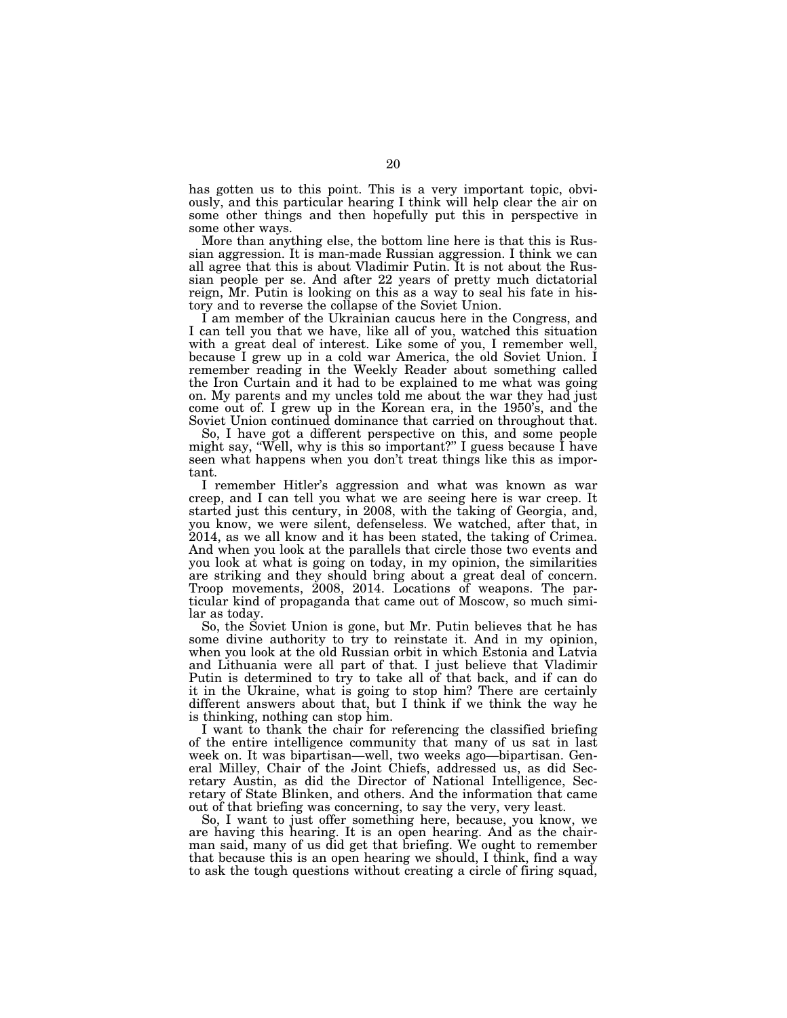has gotten us to this point. This is a very important topic, obviously, and this particular hearing I think will help clear the air on some other things and then hopefully put this in perspective in some other ways.

More than anything else, the bottom line here is that this is Russian aggression. It is man-made Russian aggression. I think we can all agree that this is about Vladimir Putin. It is not about the Russian people per se. And after 22 years of pretty much dictatorial reign, Mr. Putin is looking on this as a way to seal his fate in history and to reverse the collapse of the Soviet Union.

I am member of the Ukrainian caucus here in the Congress, and I can tell you that we have, like all of you, watched this situation with a great deal of interest. Like some of you, I remember well, because I grew up in a cold war America, the old Soviet Union. I remember reading in the Weekly Reader about something called the Iron Curtain and it had to be explained to me what was going on. My parents and my uncles told me about the war they had just come out of. I grew up in the Korean era, in the 1950's, and the Soviet Union continued dominance that carried on throughout that.

So, I have got a different perspective on this, and some people might say, ''Well, why is this so important?'' I guess because I have seen what happens when you don't treat things like this as important.

I remember Hitler's aggression and what was known as war creep, and I can tell you what we are seeing here is war creep. It started just this century, in 2008, with the taking of Georgia, and, you know, we were silent, defenseless. We watched, after that, in 2014, as we all know and it has been stated, the taking of Crimea. And when you look at the parallels that circle those two events and you look at what is going on today, in my opinion, the similarities are striking and they should bring about a great deal of concern. Troop movements, 2008, 2014. Locations of weapons. The particular kind of propaganda that came out of Moscow, so much similar as today.

So, the Soviet Union is gone, but Mr. Putin believes that he has some divine authority to try to reinstate it. And in my opinion, when you look at the old Russian orbit in which Estonia and Latvia and Lithuania were all part of that. I just believe that Vladimir Putin is determined to try to take all of that back, and if can do it in the Ukraine, what is going to stop him? There are certainly different answers about that, but I think if we think the way he is thinking, nothing can stop him.

I want to thank the chair for referencing the classified briefing of the entire intelligence community that many of us sat in last week on. It was bipartisan—well, two weeks ago—bipartisan. General Milley, Chair of the Joint Chiefs, addressed us, as did Secretary Austin, as did the Director of National Intelligence, Secretary of State Blinken, and others. And the information that came out of that briefing was concerning, to say the very, very least.

So, I want to just offer something here, because, you know, we are having this hearing. It is an open hearing. And as the chairman said, many of us did get that briefing. We ought to remember that because this is an open hearing we should, I think, find a way to ask the tough questions without creating a circle of firing squad,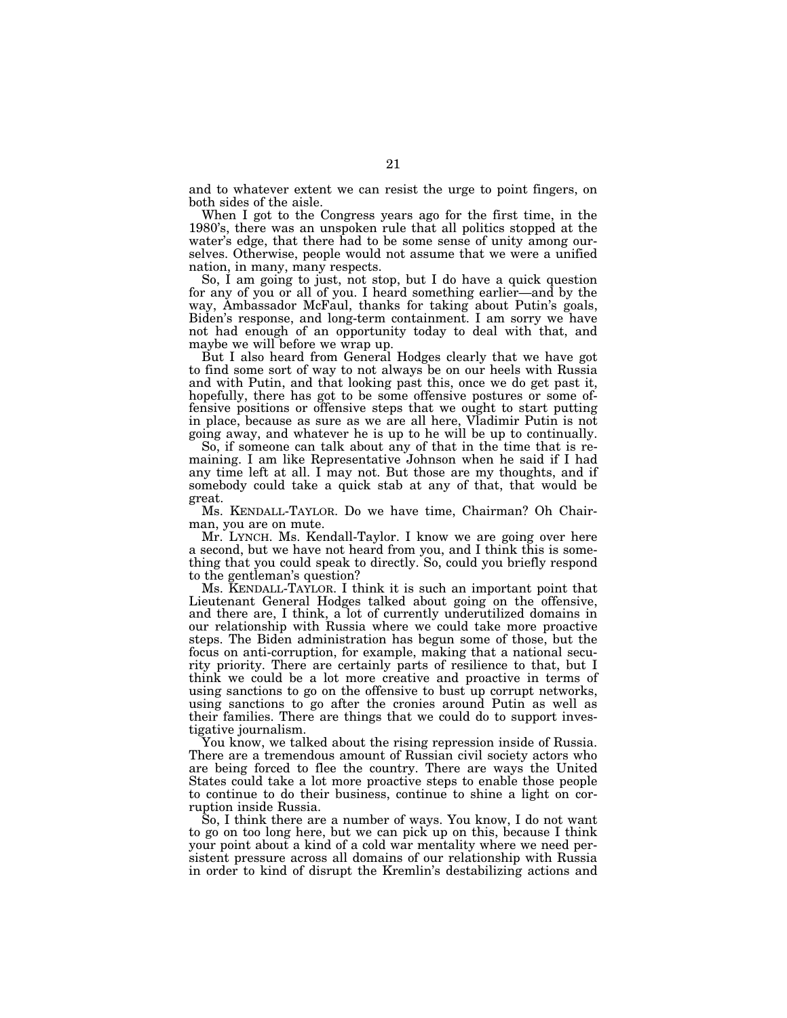and to whatever extent we can resist the urge to point fingers, on both sides of the aisle.

When I got to the Congress years ago for the first time, in the 1980's, there was an unspoken rule that all politics stopped at the water's edge, that there had to be some sense of unity among ourselves. Otherwise, people would not assume that we were a unified nation, in many, many respects.

So, I am going to just, not stop, but I do have a quick question for any of you or all of you. I heard something earlier—and by the way, Ambassador McFaul, thanks for taking about Putin's goals, Biden's response, and long-term containment. I am sorry we have not had enough of an opportunity today to deal with that, and maybe we will before we wrap up.

But I also heard from General Hodges clearly that we have got to find some sort of way to not always be on our heels with Russia and with Putin, and that looking past this, once we do get past it, hopefully, there has got to be some offensive postures or some offensive positions or offensive steps that we ought to start putting in place, because as sure as we are all here, Vladimir Putin is not going away, and whatever he is up to he will be up to continually.

So, if someone can talk about any of that in the time that is remaining. I am like Representative Johnson when he said if I had any time left at all. I may not. But those are my thoughts, and if somebody could take a quick stab at any of that, that would be great.

Ms. KENDALL-TAYLOR. Do we have time, Chairman? Oh Chairman, you are on mute.

Mr. LYNCH. Ms. Kendall-Taylor. I know we are going over here a second, but we have not heard from you, and I think this is something that you could speak to directly. So, could you briefly respond to the gentleman's question?

Ms. KENDALL-TAYLOR. I think it is such an important point that Lieutenant General Hodges talked about going on the offensive, and there are, I think, a lot of currently underutilized domains in our relationship with Russia where we could take more proactive steps. The Biden administration has begun some of those, but the focus on anti-corruption, for example, making that a national security priority. There are certainly parts of resilience to that, but I think we could be a lot more creative and proactive in terms of using sanctions to go on the offensive to bust up corrupt networks, using sanctions to go after the cronies around Putin as well as their families. There are things that we could do to support investigative journalism.

You know, we talked about the rising repression inside of Russia. There are a tremendous amount of Russian civil society actors who are being forced to flee the country. There are ways the United States could take a lot more proactive steps to enable those people to continue to do their business, continue to shine a light on corruption inside Russia.

So, I think there are a number of ways. You know, I do not want to go on too long here, but we can pick up on this, because I think your point about a kind of a cold war mentality where we need persistent pressure across all domains of our relationship with Russia in order to kind of disrupt the Kremlin's destabilizing actions and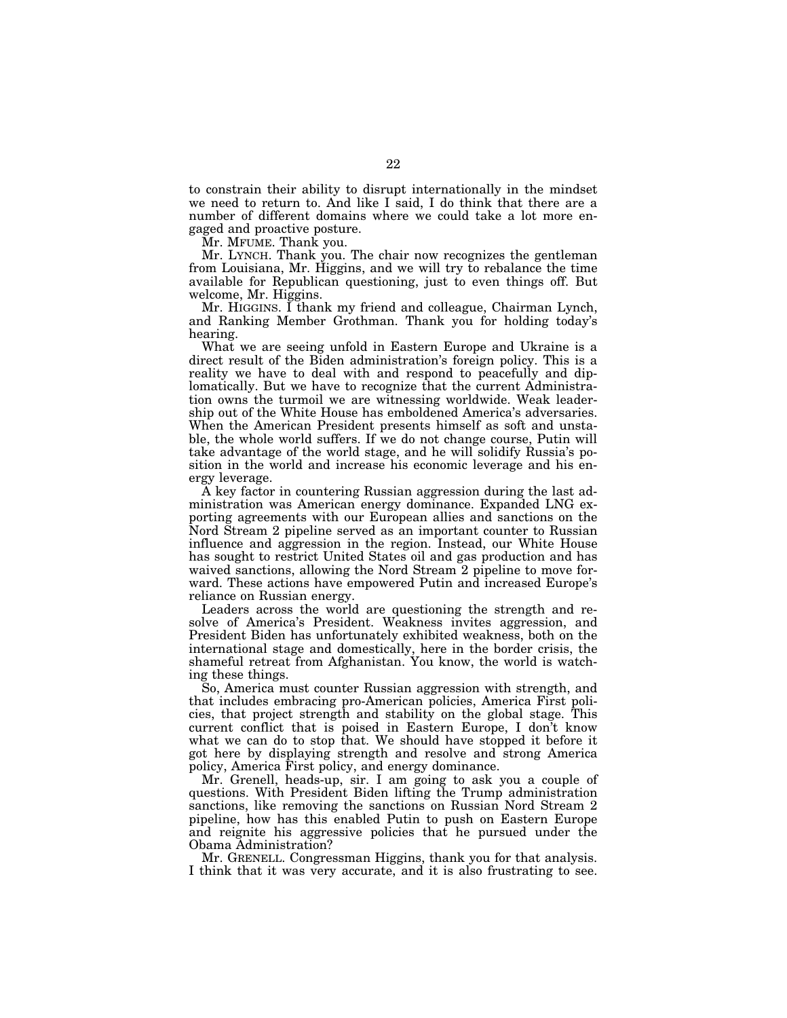to constrain their ability to disrupt internationally in the mindset we need to return to. And like I said, I do think that there are a number of different domains where we could take a lot more engaged and proactive posture.

Mr. MFUME. Thank you.

Mr. LYNCH. Thank you. The chair now recognizes the gentleman from Louisiana, Mr. Higgins, and we will try to rebalance the time available for Republican questioning, just to even things off. But welcome, Mr. Higgins.

Mr. HIGGINS. I thank my friend and colleague, Chairman Lynch, and Ranking Member Grothman. Thank you for holding today's hearing.

What we are seeing unfold in Eastern Europe and Ukraine is a direct result of the Biden administration's foreign policy. This is a reality we have to deal with and respond to peacefully and diplomatically. But we have to recognize that the current Administration owns the turmoil we are witnessing worldwide. Weak leadership out of the White House has emboldened America's adversaries. When the American President presents himself as soft and unstable, the whole world suffers. If we do not change course, Putin will take advantage of the world stage, and he will solidify Russia's position in the world and increase his economic leverage and his energy leverage.

A key factor in countering Russian aggression during the last administration was American energy dominance. Expanded LNG exporting agreements with our European allies and sanctions on the Nord Stream 2 pipeline served as an important counter to Russian influence and aggression in the region. Instead, our White House has sought to restrict United States oil and gas production and has waived sanctions, allowing the Nord Stream 2 pipeline to move forward. These actions have empowered Putin and increased Europe's reliance on Russian energy.

Leaders across the world are questioning the strength and resolve of America's President. Weakness invites aggression, and President Biden has unfortunately exhibited weakness, both on the international stage and domestically, here in the border crisis, the shameful retreat from Afghanistan. You know, the world is watching these things.

So, America must counter Russian aggression with strength, and that includes embracing pro-American policies, America First policies, that project strength and stability on the global stage. This current conflict that is poised in Eastern Europe, I don't know what we can do to stop that. We should have stopped it before it got here by displaying strength and resolve and strong America policy, America First policy, and energy dominance.

Mr. Grenell, heads-up, sir. I am going to ask you a couple of questions. With President Biden lifting the Trump administration sanctions, like removing the sanctions on Russian Nord Stream 2 pipeline, how has this enabled Putin to push on Eastern Europe and reignite his aggressive policies that he pursued under the Obama Administration?

Mr. GRENELL. Congressman Higgins, thank you for that analysis. I think that it was very accurate, and it is also frustrating to see.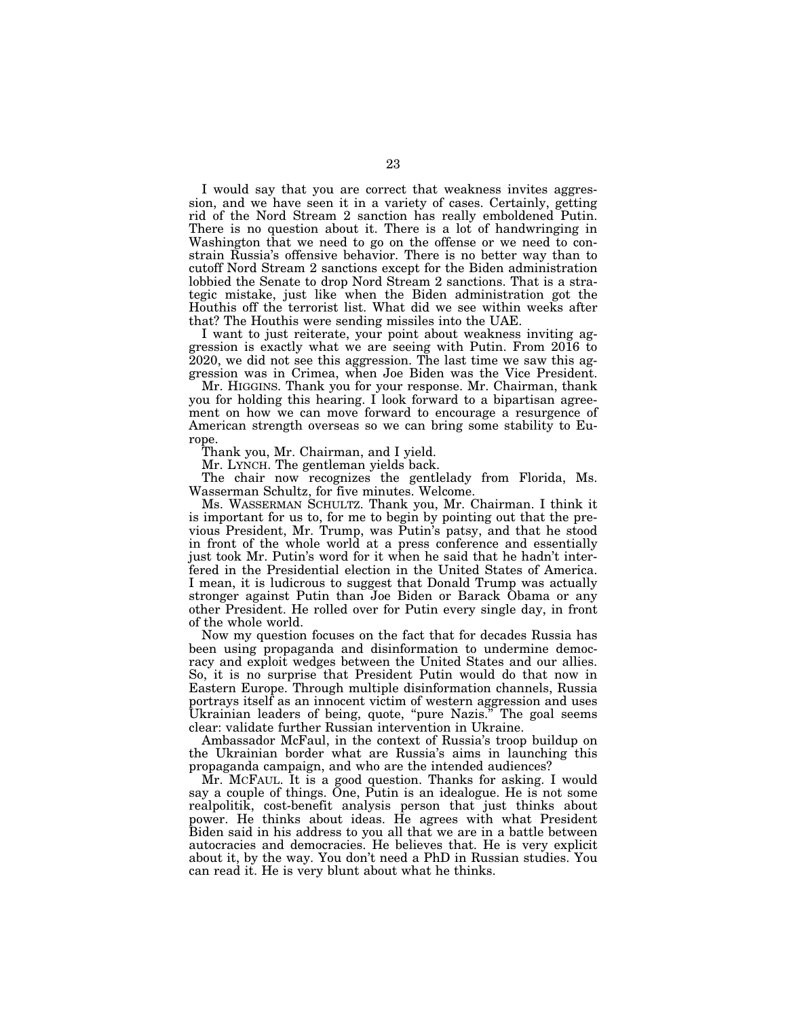I would say that you are correct that weakness invites aggression, and we have seen it in a variety of cases. Certainly, getting rid of the Nord Stream 2 sanction has really emboldened Putin. There is no question about it. There is a lot of handwringing in Washington that we need to go on the offense or we need to constrain Russia's offensive behavior. There is no better way than to cutoff Nord Stream 2 sanctions except for the Biden administration lobbied the Senate to drop Nord Stream 2 sanctions. That is a strategic mistake, just like when the Biden administration got the Houthis off the terrorist list. What did we see within weeks after that? The Houthis were sending missiles into the UAE.

I want to just reiterate, your point about weakness inviting aggression is exactly what we are seeing with Putin. From 2016 to 2020, we did not see this aggression. The last time we saw this aggression was in Crimea, when Joe Biden was the Vice President.

Mr. HIGGINS. Thank you for your response. Mr. Chairman, thank you for holding this hearing. I look forward to a bipartisan agreement on how we can move forward to encourage a resurgence of American strength overseas so we can bring some stability to Europe.

Thank you, Mr. Chairman, and I yield.

Mr. LYNCH. The gentleman yields back.

The chair now recognizes the gentlelady from Florida, Ms. Wasserman Schultz, for five minutes. Welcome.

Ms. WASSERMAN SCHULTZ. Thank you, Mr. Chairman. I think it is important for us to, for me to begin by pointing out that the previous President, Mr. Trump, was Putin's patsy, and that he stood in front of the whole world at a press conference and essentially just took Mr. Putin's word for it when he said that he hadn't interfered in the Presidential election in the United States of America. I mean, it is ludicrous to suggest that Donald Trump was actually stronger against Putin than Joe Biden or Barack Obama or any other President. He rolled over for Putin every single day, in front of the whole world.

Now my question focuses on the fact that for decades Russia has been using propaganda and disinformation to undermine democracy and exploit wedges between the United States and our allies. So, it is no surprise that President Putin would do that now in Eastern Europe. Through multiple disinformation channels, Russia portrays itself as an innocent victim of western aggression and uses Ukrainian leaders of being, quote, "pure Nazis." The goal seems clear: validate further Russian intervention in Ukraine.

Ambassador McFaul, in the context of Russia's troop buildup on the Ukrainian border what are Russia's aims in launching this propaganda campaign, and who are the intended audiences?

Mr. MCFAUL. It is a good question. Thanks for asking. I would say a couple of things. One, Putin is an idealogue. He is not some realpolitik, cost-benefit analysis person that just thinks about power. He thinks about ideas. He agrees with what President Biden said in his address to you all that we are in a battle between autocracies and democracies. He believes that. He is very explicit about it, by the way. You don't need a PhD in Russian studies. You can read it. He is very blunt about what he thinks.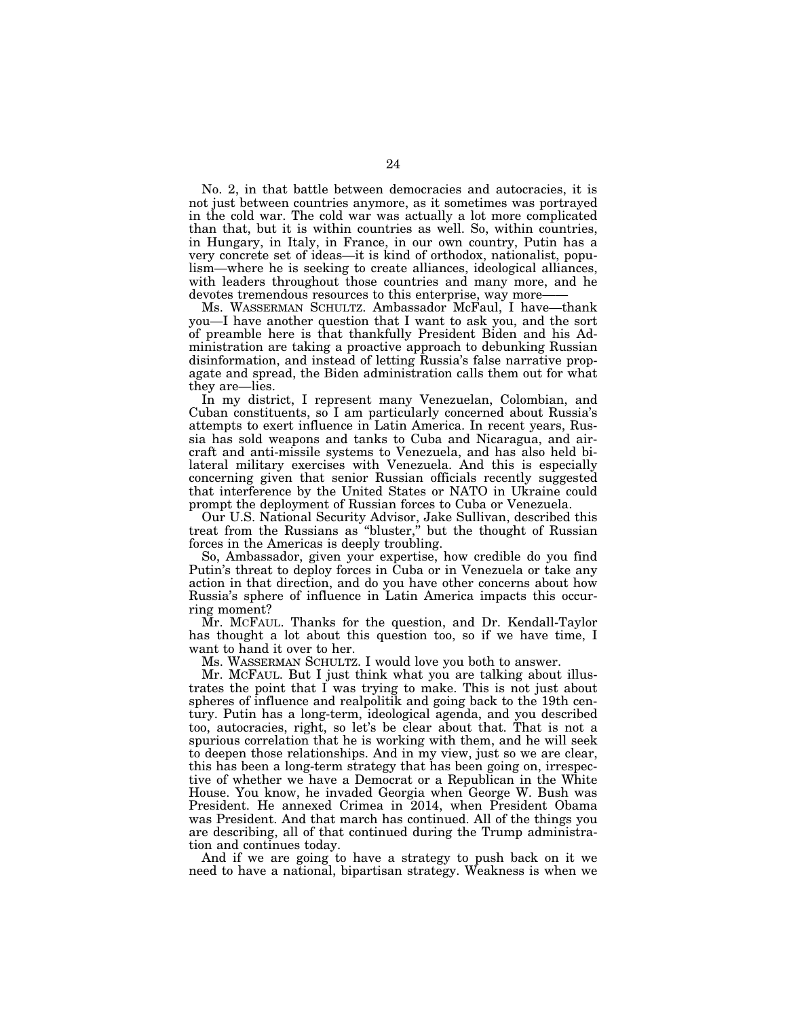No. 2, in that battle between democracies and autocracies, it is not just between countries anymore, as it sometimes was portrayed in the cold war. The cold war was actually a lot more complicated than that, but it is within countries as well. So, within countries, in Hungary, in Italy, in France, in our own country, Putin has a very concrete set of ideas—it is kind of orthodox, nationalist, populism—where he is seeking to create alliances, ideological alliances, with leaders throughout those countries and many more, and he devotes tremendous resources to this enterprise, way more-

Ms. WASSERMAN SCHULTZ. Ambassador McFaul, I have—thank you—I have another question that I want to ask you, and the sort of preamble here is that thankfully President Biden and his Administration are taking a proactive approach to debunking Russian disinformation, and instead of letting Russia's false narrative propagate and spread, the Biden administration calls them out for what they are—lies.

In my district, I represent many Venezuelan, Colombian, and Cuban constituents, so I am particularly concerned about Russia's attempts to exert influence in Latin America. In recent years, Russia has sold weapons and tanks to Cuba and Nicaragua, and aircraft and anti-missile systems to Venezuela, and has also held bilateral military exercises with Venezuela. And this is especially concerning given that senior Russian officials recently suggested that interference by the United States or NATO in Ukraine could prompt the deployment of Russian forces to Cuba or Venezuela.

Our U.S. National Security Advisor, Jake Sullivan, described this treat from the Russians as ''bluster,'' but the thought of Russian forces in the Americas is deeply troubling.

So, Ambassador, given your expertise, how credible do you find Putin's threat to deploy forces in Cuba or in Venezuela or take any action in that direction, and do you have other concerns about how Russia's sphere of influence in Latin America impacts this occurring moment?

Mr. MCFAUL. Thanks for the question, and Dr. Kendall-Taylor has thought a lot about this question too, so if we have time, I want to hand it over to her.

Ms. WASSERMAN SCHULTZ. I would love you both to answer.

Mr. MCFAUL. But I just think what you are talking about illustrates the point that I was trying to make. This is not just about spheres of influence and realpolitik and going back to the 19th century. Putin has a long-term, ideological agenda, and you described too, autocracies, right, so let's be clear about that. That is not a spurious correlation that he is working with them, and he will seek to deepen those relationships. And in my view, just so we are clear, this has been a long-term strategy that has been going on, irrespective of whether we have a Democrat or a Republican in the White House. You know, he invaded Georgia when George W. Bush was President. He annexed Crimea in 2014, when President Obama was President. And that march has continued. All of the things you are describing, all of that continued during the Trump administration and continues today.

And if we are going to have a strategy to push back on it we need to have a national, bipartisan strategy. Weakness is when we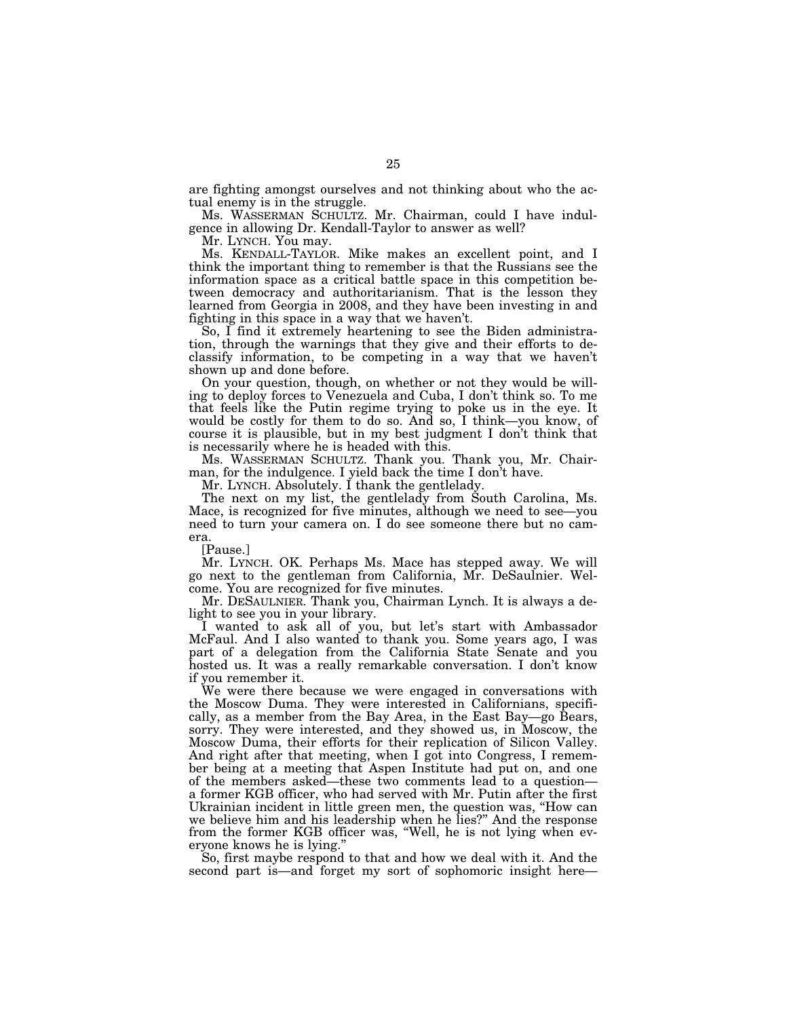are fighting amongst ourselves and not thinking about who the actual enemy is in the struggle.

Ms. WASSERMAN SCHULTZ. Mr. Chairman, could I have indulgence in allowing Dr. Kendall-Taylor to answer as well?

Mr. LYNCH. You may.

Ms. KENDALL-TAYLOR. Mike makes an excellent point, and I think the important thing to remember is that the Russians see the information space as a critical battle space in this competition between democracy and authoritarianism. That is the lesson they learned from Georgia in 2008, and they have been investing in and fighting in this space in a way that we haven't.

So, I find it extremely heartening to see the Biden administration, through the warnings that they give and their efforts to declassify information, to be competing in a way that we haven't shown up and done before.

On your question, though, on whether or not they would be willing to deploy forces to Venezuela and Cuba, I don't think so. To me that feels like the Putin regime trying to poke us in the eye. It would be costly for them to do so. And so, I think—you know, of course it is plausible, but in my best judgment I don't think that is necessarily where he is headed with this.

Ms. WASSERMAN SCHULTZ. Thank you. Thank you, Mr. Chairman, for the indulgence. I yield back the time I don't have.

Mr. LYNCH. Absolutely. I thank the gentlelady.

The next on my list, the gentlelady from South Carolina, Ms. Mace, is recognized for five minutes, although we need to see—you need to turn your camera on. I do see someone there but no camera.

[Pause.]

Mr. LYNCH. OK. Perhaps Ms. Mace has stepped away. We will go next to the gentleman from California, Mr. DeSaulnier. Welcome. You are recognized for five minutes.

Mr. DESAULNIER. Thank you, Chairman Lynch. It is always a delight to see you in your library.

I wanted to ask all of you, but let's start with Ambassador McFaul. And I also wanted to thank you. Some years ago, I was part of a delegation from the California State Senate and you hosted us. It was a really remarkable conversation. I don't know if you remember it.

We were there because we were engaged in conversations with the Moscow Duma. They were interested in Californians, specifically, as a member from the Bay Area, in the East Bay—go Bears, sorry. They were interested, and they showed us, in Moscow, the Moscow Duma, their efforts for their replication of Silicon Valley. And right after that meeting, when I got into Congress, I remember being at a meeting that Aspen Institute had put on, and one of the members asked—these two comments lead to a question a former KGB officer, who had served with Mr. Putin after the first Ukrainian incident in little green men, the question was, ''How can we believe him and his leadership when he lies?" And the response from the former KGB officer was, ''Well, he is not lying when everyone knows he is lying.''

So, first maybe respond to that and how we deal with it. And the second part is—and forget my sort of sophomoric insight here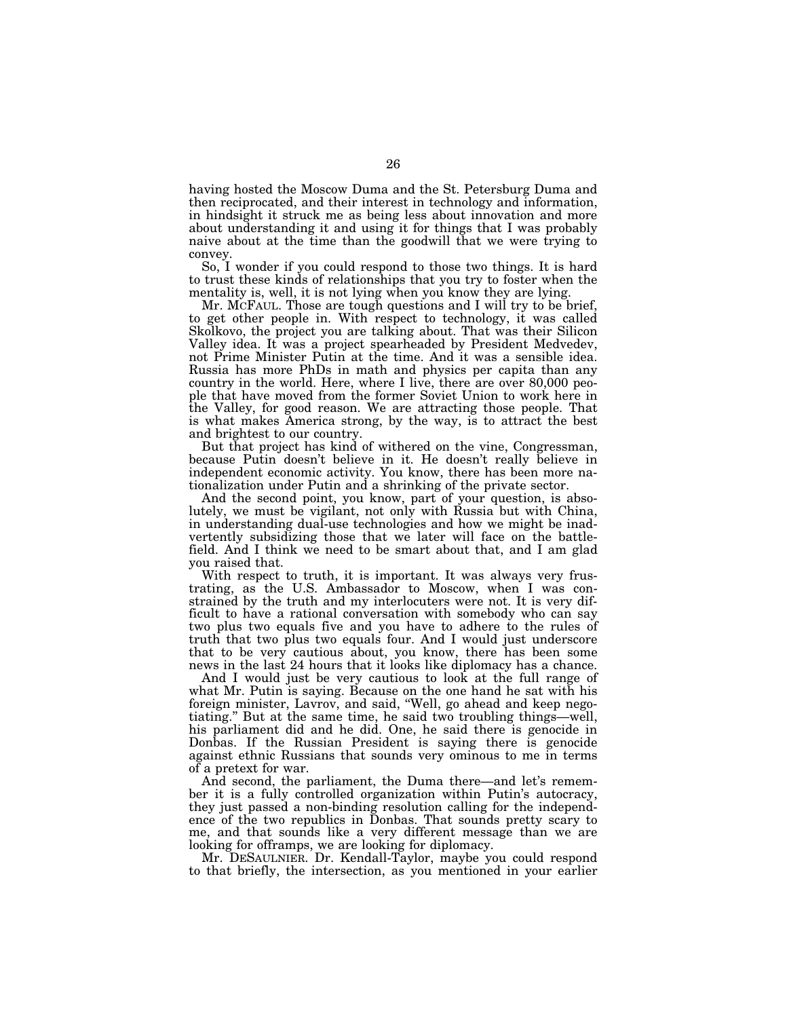having hosted the Moscow Duma and the St. Petersburg Duma and then reciprocated, and their interest in technology and information, in hindsight it struck me as being less about innovation and more about understanding it and using it for things that I was probably naive about at the time than the goodwill that we were trying to convey.

So, I wonder if you could respond to those two things. It is hard to trust these kinds of relationships that you try to foster when the mentality is, well, it is not lying when you know they are lying.

Mr. MCFAUL. Those are tough questions and I will try to be brief, to get other people in. With respect to technology, it was called Skolkovo, the project you are talking about. That was their Silicon Valley idea. It was a project spearheaded by President Medvedev, not Prime Minister Putin at the time. And it was a sensible idea. Russia has more PhDs in math and physics per capita than any country in the world. Here, where I live, there are over 80,000 people that have moved from the former Soviet Union to work here in the Valley, for good reason. We are attracting those people. That is what makes America strong, by the way, is to attract the best and brightest to our country.

But that project has kind of withered on the vine, Congressman, because Putin doesn't believe in it. He doesn't really believe in independent economic activity. You know, there has been more nationalization under Putin and a shrinking of the private sector.

And the second point, you know, part of your question, is absolutely, we must be vigilant, not only with Russia but with China, in understanding dual-use technologies and how we might be inadvertently subsidizing those that we later will face on the battlefield. And I think we need to be smart about that, and I am glad you raised that.

With respect to truth, it is important. It was always very frustrating, as the U.S. Ambassador to Moscow, when I was constrained by the truth and my interlocuters were not. It is very difficult to have a rational conversation with somebody who can say two plus two equals five and you have to adhere to the rules of truth that two plus two equals four. And I would just underscore that to be very cautious about, you know, there has been some news in the last 24 hours that it looks like diplomacy has a chance.

And I would just be very cautious to look at the full range of what Mr. Putin is saying. Because on the one hand he sat with his foreign minister, Lavrov, and said, ''Well, go ahead and keep negotiating.'' But at the same time, he said two troubling things—well, his parliament did and he did. One, he said there is genocide in Donbas. If the Russian President is saying there is genocide against ethnic Russians that sounds very ominous to me in terms of a pretext for war.

And second, the parliament, the Duma there—and let's remember it is a fully controlled organization within Putin's autocracy, they just passed a non-binding resolution calling for the independence of the two republics in Donbas. That sounds pretty scary to me, and that sounds like a very different message than we are looking for offramps, we are looking for diplomacy.

Mr. DESAULNIER. Dr. Kendall-Taylor, maybe you could respond to that briefly, the intersection, as you mentioned in your earlier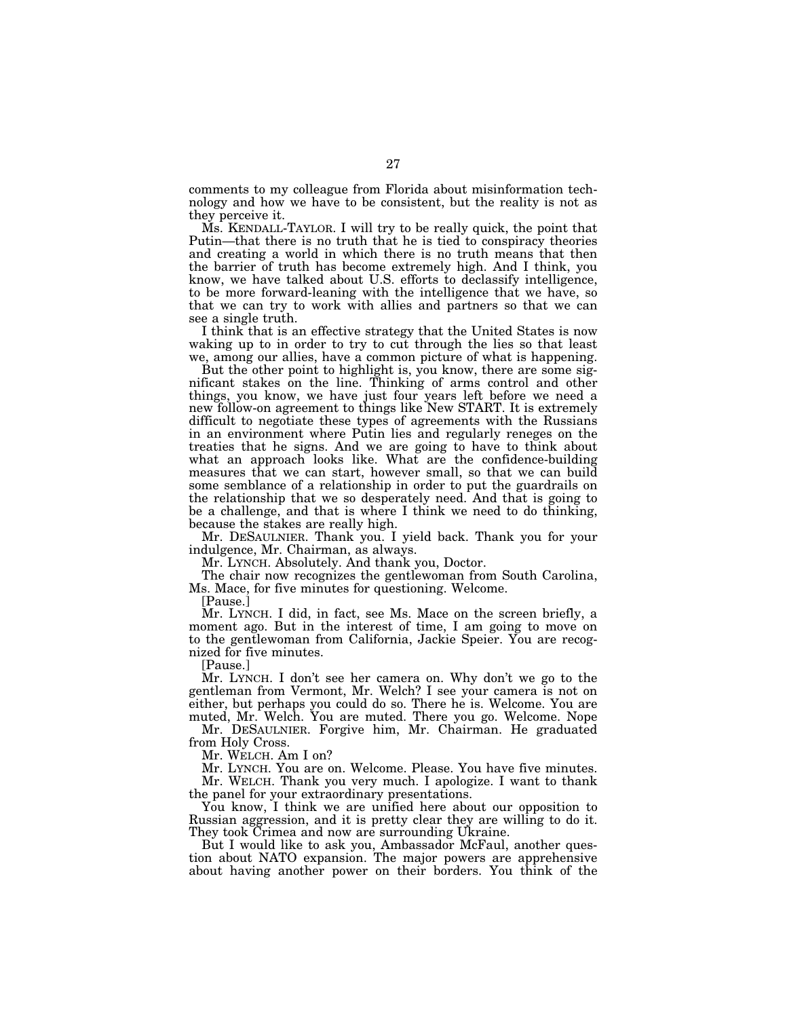comments to my colleague from Florida about misinformation technology and how we have to be consistent, but the reality is not as they perceive it.

Ms. KENDALL-TAYLOR. I will try to be really quick, the point that Putin—that there is no truth that he is tied to conspiracy theories and creating a world in which there is no truth means that then the barrier of truth has become extremely high. And I think, you know, we have talked about U.S. efforts to declassify intelligence, to be more forward-leaning with the intelligence that we have, so that we can try to work with allies and partners so that we can see a single truth.

I think that is an effective strategy that the United States is now waking up to in order to try to cut through the lies so that least we, among our allies, have a common picture of what is happening.

But the other point to highlight is, you know, there are some significant stakes on the line. Thinking of arms control and other things, you know, we have just four years left before we need a new follow-on agreement to things like New START. It is extremely difficult to negotiate these types of agreements with the Russians in an environment where Putin lies and regularly reneges on the treaties that he signs. And we are going to have to think about what an approach looks like. What are the confidence-building measures that we can start, however small, so that we can build some semblance of a relationship in order to put the guardrails on the relationship that we so desperately need. And that is going to be a challenge, and that is where I think we need to do thinking, because the stakes are really high.

Mr. DESAULNIER. Thank you. I yield back. Thank you for your indulgence, Mr. Chairman, as always.

Mr. LYNCH. Absolutely. And thank you, Doctor.

The chair now recognizes the gentlewoman from South Carolina, Ms. Mace, for five minutes for questioning. Welcome.

[Pause.]

Mr. LYNCH. I did, in fact, see Ms. Mace on the screen briefly, a moment ago. But in the interest of time, I am going to move on to the gentlewoman from California, Jackie Speier. You are recognized for five minutes.

[Pause.]

Mr. LYNCH. I don't see her camera on. Why don't we go to the gentleman from Vermont, Mr. Welch? I see your camera is not on either, but perhaps you could do so. There he is. Welcome. You are muted, Mr. Welch. You are muted. There you go. Welcome. Nope

Mr. DESAULNIER. Forgive him, Mr. Chairman. He graduated from Holy Cross.

Mr. WELCH. Am I on?

Mr. LYNCH. You are on. Welcome. Please. You have five minutes. Mr. WELCH. Thank you very much. I apologize. I want to thank the panel for your extraordinary presentations.

You know, I think we are unified here about our opposition to Russian aggression, and it is pretty clear they are willing to do it. They took Crimea and now are surrounding Ukraine.

But I would like to ask you, Ambassador McFaul, another question about NATO expansion. The major powers are apprehensive about having another power on their borders. You think of the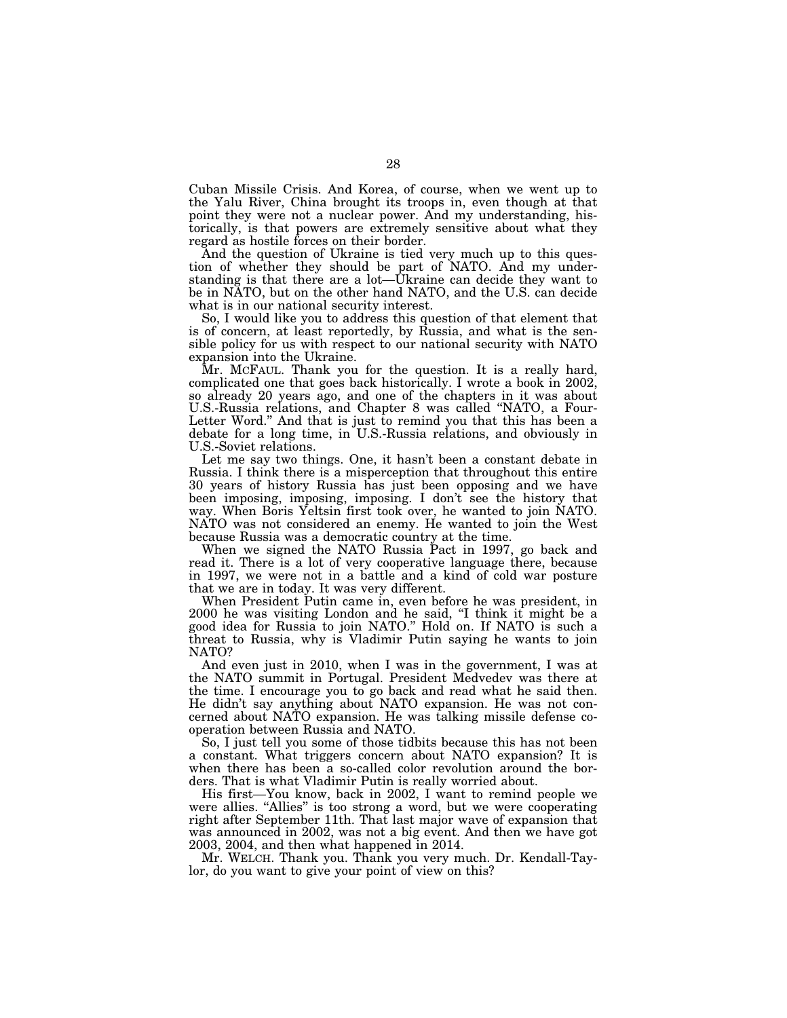Cuban Missile Crisis. And Korea, of course, when we went up to the Yalu River, China brought its troops in, even though at that point they were not a nuclear power. And my understanding, historically, is that powers are extremely sensitive about what they regard as hostile forces on their border.

And the question of Ukraine is tied very much up to this question of whether they should be part of NATO. And my understanding is that there are a lot—Ukraine can decide they want to be in NATO, but on the other hand NATO, and the U.S. can decide what is in our national security interest.

So, I would like you to address this question of that element that is of concern, at least reportedly, by Russia, and what is the sensible policy for us with respect to our national security with NATO expansion into the Ukraine.

Mr. MCFAUL. Thank you for the question. It is a really hard, complicated one that goes back historically. I wrote a book in 2002, so already 20 years ago, and one of the chapters in it was about U.S.-Russia relations, and Chapter 8 was called ''NATO, a Four-Letter Word.'' And that is just to remind you that this has been a debate for a long time, in U.S.-Russia relations, and obviously in U.S.-Soviet relations.

Let me say two things. One, it hasn't been a constant debate in Russia. I think there is a misperception that throughout this entire 30 years of history Russia has just been opposing and we have been imposing, imposing, imposing. I don't see the history that way. When Boris Yeltsin first took over, he wanted to join NATO. NATO was not considered an enemy. He wanted to join the West because Russia was a democratic country at the time.

When we signed the NATO Russia Pact in 1997, go back and read it. There is a lot of very cooperative language there, because in 1997, we were not in a battle and a kind of cold war posture that we are in today. It was very different.

When President Putin came in, even before he was president, in 2000 he was visiting London and he said, ''I think it might be a good idea for Russia to join NATO.'' Hold on. If NATO is such a threat to Russia, why is Vladimir Putin saying he wants to join NATO?

And even just in 2010, when I was in the government, I was at the NATO summit in Portugal. President Medvedev was there at the time. I encourage you to go back and read what he said then. He didn't say anything about NATO expansion. He was not concerned about NATO expansion. He was talking missile defense cooperation between Russia and NATO.

So, I just tell you some of those tidbits because this has not been a constant. What triggers concern about NATO expansion? It is when there has been a so-called color revolution around the borders. That is what Vladimir Putin is really worried about.

His first—You know, back in 2002, I want to remind people we were allies. "Allies" is too strong a word, but we were cooperating right after September 11th. That last major wave of expansion that was announced in 2002, was not a big event. And then we have got 2003, 2004, and then what happened in 2014.

Mr. WELCH. Thank you. Thank you very much. Dr. Kendall-Taylor, do you want to give your point of view on this?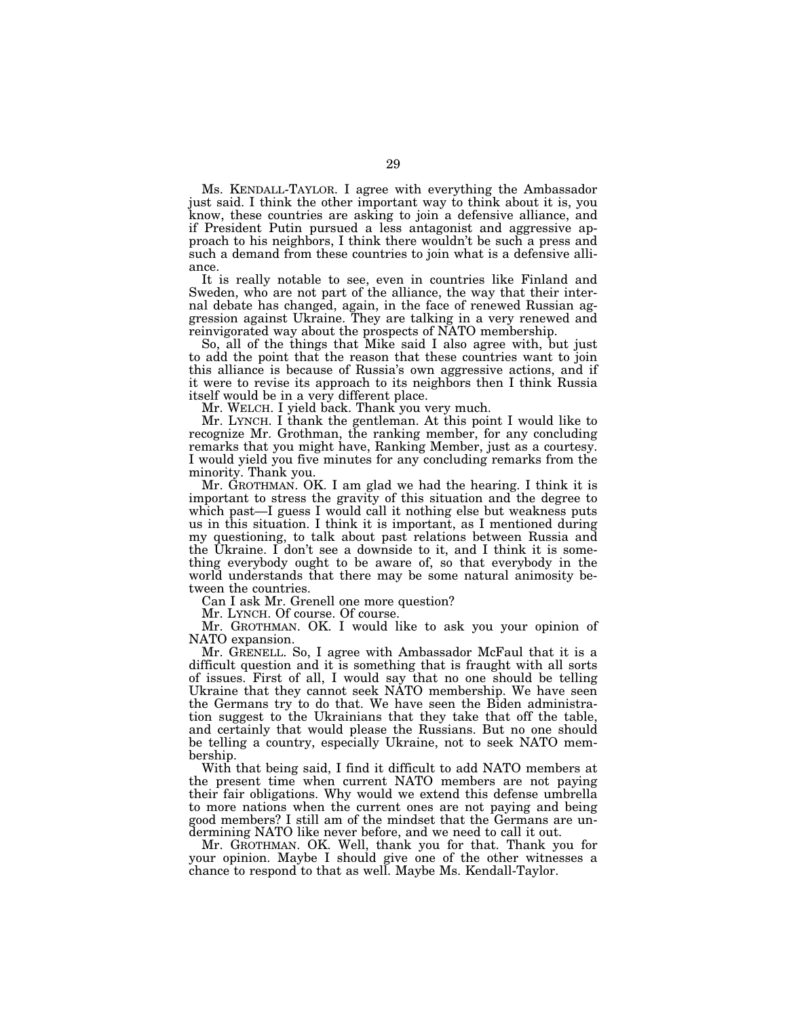Ms. KENDALL-TAYLOR. I agree with everything the Ambassador just said. I think the other important way to think about it is, you know, these countries are asking to join a defensive alliance, and if President Putin pursued a less antagonist and aggressive approach to his neighbors, I think there wouldn't be such a press and such a demand from these countries to join what is a defensive alliance.

It is really notable to see, even in countries like Finland and Sweden, who are not part of the alliance, the way that their internal debate has changed, again, in the face of renewed Russian aggression against Ukraine. They are talking in a very renewed and reinvigorated way about the prospects of NATO membership.

So, all of the things that Mike said I also agree with, but just to add the point that the reason that these countries want to join this alliance is because of Russia's own aggressive actions, and if it were to revise its approach to its neighbors then I think Russia itself would be in a very different place.

Mr. WELCH. I yield back. Thank you very much.

Mr. LYNCH. I thank the gentleman. At this point I would like to recognize Mr. Grothman, the ranking member, for any concluding remarks that you might have, Ranking Member, just as a courtesy. I would yield you five minutes for any concluding remarks from the minority. Thank you.

Mr. GROTHMAN. OK. I am glad we had the hearing. I think it is important to stress the gravity of this situation and the degree to which past—I guess I would call it nothing else but weakness puts us in this situation. I think it is important, as I mentioned during my questioning, to talk about past relations between Russia and the Ukraine. I don't see a downside to it, and I think it is something everybody ought to be aware of, so that everybody in the world understands that there may be some natural animosity between the countries.

Can I ask Mr. Grenell one more question?

Mr. LYNCH. Of course. Of course.

Mr. GROTHMAN. OK. I would like to ask you your opinion of NATO expansion.

Mr. GRENELL. So, I agree with Ambassador McFaul that it is a difficult question and it is something that is fraught with all sorts of issues. First of all, I would say that no one should be telling Ukraine that they cannot seek NATO membership. We have seen the Germans try to do that. We have seen the Biden administration suggest to the Ukrainians that they take that off the table, and certainly that would please the Russians. But no one should be telling a country, especially Ukraine, not to seek NATO membership.

With that being said, I find it difficult to add NATO members at the present time when current NATO members are not paying their fair obligations. Why would we extend this defense umbrella to more nations when the current ones are not paying and being good members? I still am of the mindset that the Germans are undermining NATO like never before, and we need to call it out.

Mr. GROTHMAN. OK. Well, thank you for that. Thank you for your opinion. Maybe I should give one of the other witnesses a chance to respond to that as well. Maybe Ms. Kendall-Taylor.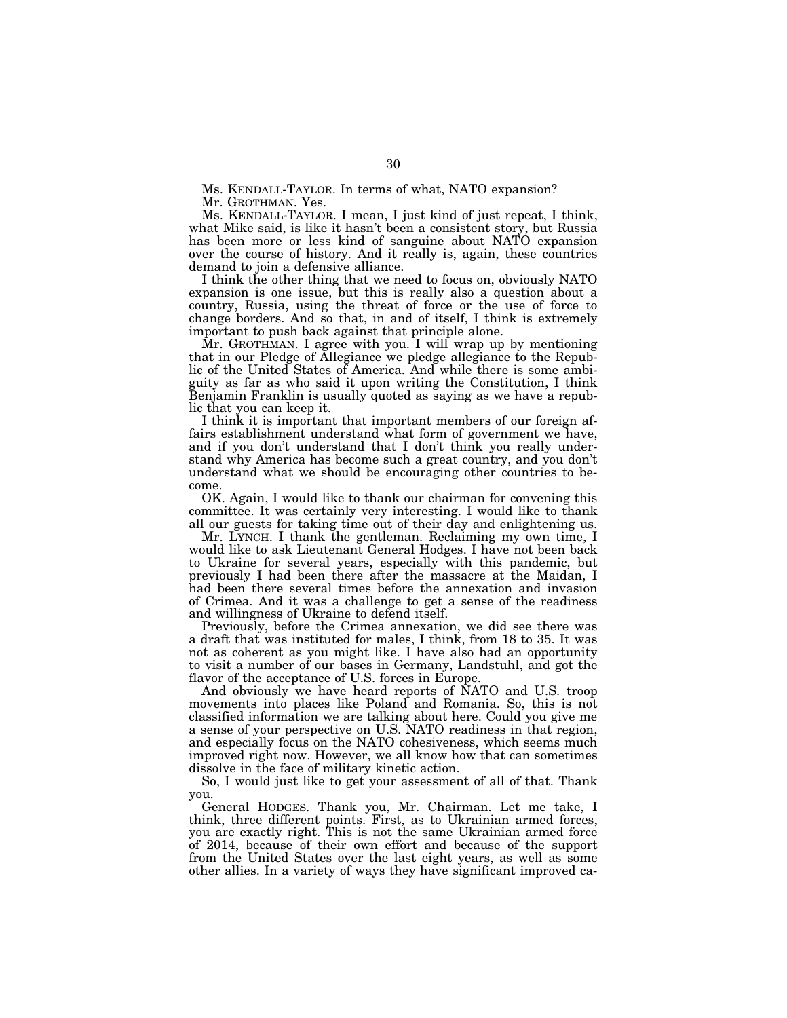Ms. KENDALL-TAYLOR. In terms of what, NATO expansion? Mr. GROTHMAN. Yes.

Ms. KENDALL-TAYLOR. I mean, I just kind of just repeat, I think, what Mike said, is like it hasn't been a consistent story, but Russia has been more or less kind of sanguine about NATO expansion over the course of history. And it really is, again, these countries demand to join a defensive alliance.

I think the other thing that we need to focus on, obviously NATO expansion is one issue, but this is really also a question about a country, Russia, using the threat of force or the use of force to change borders. And so that, in and of itself, I think is extremely important to push back against that principle alone.

Mr. GROTHMAN. I agree with you. I will wrap up by mentioning that in our Pledge of Allegiance we pledge allegiance to the Republic of the United States of America. And while there is some ambiguity as far as who said it upon writing the Constitution, I think Benjamin Franklin is usually quoted as saying as we have a republic that you can keep it.

I think it is important that important members of our foreign affairs establishment understand what form of government we have, and if you don't understand that I don't think you really understand why America has become such a great country, and you don't understand what we should be encouraging other countries to become.

OK. Again, I would like to thank our chairman for convening this committee. It was certainly very interesting. I would like to thank all our guests for taking time out of their day and enlightening us.

Mr. LYNCH. I thank the gentleman. Reclaiming my own time, I would like to ask Lieutenant General Hodges. I have not been back to Ukraine for several years, especially with this pandemic, but previously I had been there after the massacre at the Maidan, I had been there several times before the annexation and invasion of Crimea. And it was a challenge to get a sense of the readiness and willingness of Ukraine to defend itself.

Previously, before the Crimea annexation, we did see there was a draft that was instituted for males, I think, from 18 to 35. It was not as coherent as you might like. I have also had an opportunity to visit a number of our bases in Germany, Landstuhl, and got the flavor of the acceptance of U.S. forces in Europe.

And obviously we have heard reports of NATO and U.S. troop movements into places like Poland and Romania. So, this is not classified information we are talking about here. Could you give me a sense of your perspective on U.S. NATO readiness in that region, and especially focus on the NATO cohesiveness, which seems much improved right now. However, we all know how that can sometimes dissolve in the face of military kinetic action.

So, I would just like to get your assessment of all of that. Thank you.

General HODGES. Thank you, Mr. Chairman. Let me take, I think, three different points. First, as to Ukrainian armed forces, you are exactly right. This is not the same Ukrainian armed force of 2014, because of their own effort and because of the support from the United States over the last eight years, as well as some other allies. In a variety of ways they have significant improved ca-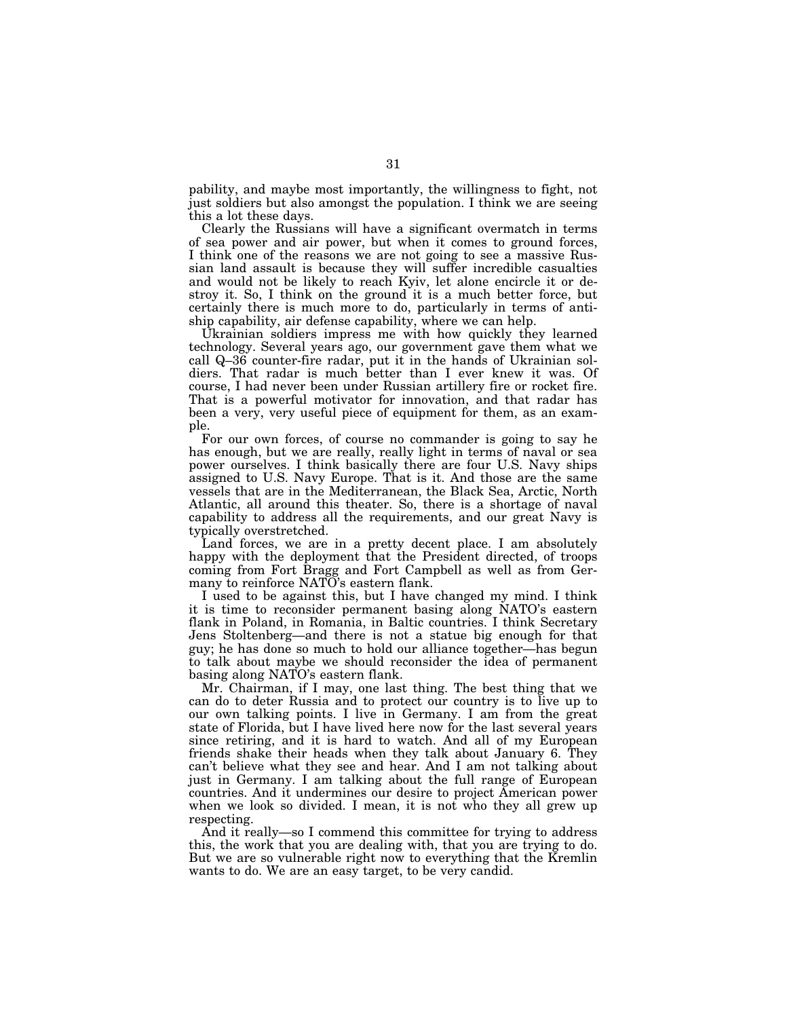pability, and maybe most importantly, the willingness to fight, not just soldiers but also amongst the population. I think we are seeing this a lot these days.

Clearly the Russians will have a significant overmatch in terms of sea power and air power, but when it comes to ground forces, I think one of the reasons we are not going to see a massive Russian land assault is because they will suffer incredible casualties and would not be likely to reach Kyiv, let alone encircle it or destroy it. So, I think on the ground it is a much better force, but certainly there is much more to do, particularly in terms of antiship capability, air defense capability, where we can help.

Ukrainian soldiers impress me with how quickly they learned technology. Several years ago, our government gave them what we call Q–36 counter-fire radar, put it in the hands of Ukrainian soldiers. That radar is much better than I ever knew it was. Of course, I had never been under Russian artillery fire or rocket fire. That is a powerful motivator for innovation, and that radar has been a very, very useful piece of equipment for them, as an example.

For our own forces, of course no commander is going to say he has enough, but we are really, really light in terms of naval or sea power ourselves. I think basically there are four U.S. Navy ships assigned to U.S. Navy Europe. That is it. And those are the same vessels that are in the Mediterranean, the Black Sea, Arctic, North Atlantic, all around this theater. So, there is a shortage of naval capability to address all the requirements, and our great Navy is typically overstretched.

Land forces, we are in a pretty decent place. I am absolutely happy with the deployment that the President directed, of troops coming from Fort Bragg and Fort Campbell as well as from Germany to reinforce NATO's eastern flank.

I used to be against this, but I have changed my mind. I think it is time to reconsider permanent basing along NATO's eastern flank in Poland, in Romania, in Baltic countries. I think Secretary Jens Stoltenberg—and there is not a statue big enough for that guy; he has done so much to hold our alliance together—has begun to talk about maybe we should reconsider the idea of permanent basing along NATO's eastern flank.

Mr. Chairman, if I may, one last thing. The best thing that we can do to deter Russia and to protect our country is to live up to our own talking points. I live in Germany. I am from the great state of Florida, but I have lived here now for the last several years since retiring, and it is hard to watch. And all of my European friends shake their heads when they talk about January 6. They can't believe what they see and hear. And I am not talking about just in Germany. I am talking about the full range of European countries. And it undermines our desire to project American power when we look so divided. I mean, it is not who they all grew up respecting.

And it really—so I commend this committee for trying to address this, the work that you are dealing with, that you are trying to do. But we are so vulnerable right now to everything that the Kremlin wants to do. We are an easy target, to be very candid.